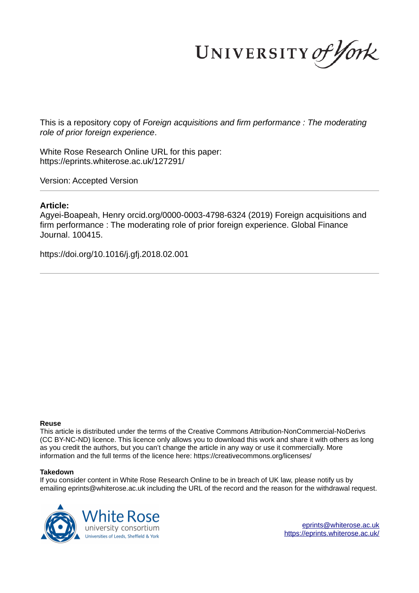UNIVERSITY of York

This is a repository copy of *Foreign acquisitions and firm performance : The moderating role of prior foreign experience*.

White Rose Research Online URL for this paper: https://eprints.whiterose.ac.uk/127291/

Version: Accepted Version

# **Article:**

Agyei-Boapeah, Henry orcid.org/0000-0003-4798-6324 (2019) Foreign acquisitions and firm performance : The moderating role of prior foreign experience. Global Finance Journal. 100415.

https://doi.org/10.1016/j.gfj.2018.02.001

## **Reuse**

This article is distributed under the terms of the Creative Commons Attribution-NonCommercial-NoDerivs (CC BY-NC-ND) licence. This licence only allows you to download this work and share it with others as long as you credit the authors, but you can't change the article in any way or use it commercially. More information and the full terms of the licence here: https://creativecommons.org/licenses/

## **Takedown**

If you consider content in White Rose Research Online to be in breach of UK law, please notify us by emailing eprints@whiterose.ac.uk including the URL of the record and the reason for the withdrawal request.



eprints@whiterose.ac.uk https://eprints.whiterose.ac.uk/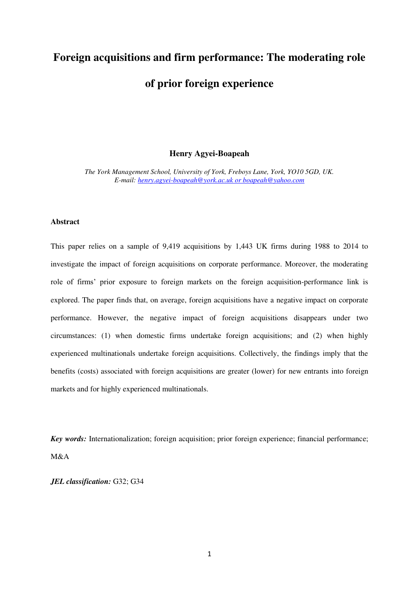# **Foreign acquisitions and firm performance: The moderating role**

# **of prior foreign experience**

# **Henry Agyei-Boapeah**

*The York Management School, University of York, Freboys Lane, York, YO10 5GD, UK. E-mail: [henry.agyei-boapeah@york.ac.uk o](mailto:henry.agyei-boapeah@york.ac.uk)r boapeah@yahoo.com*

# **Abstract**

This paper relies on a sample of 9,419 acquisitions by 1,443 UK firms during 1988 to 2014 to investigate the impact of foreign acquisitions on corporate performance. Moreover, the moderating role of firms' prior exposure to foreign markets on the foreign acquisition-performance link is explored. The paper finds that, on average, foreign acquisitions have a negative impact on corporate performance. However, the negative impact of foreign acquisitions disappears under two circumstances: (1) when domestic firms undertake foreign acquisitions; and (2) when highly experienced multinationals undertake foreign acquisitions. Collectively, the findings imply that the benefits (costs) associated with foreign acquisitions are greater (lower) for new entrants into foreign markets and for highly experienced multinationals.

*Key words:* Internationalization; foreign acquisition; prior foreign experience; financial performance; M&A

*JEL classification:* G32; G34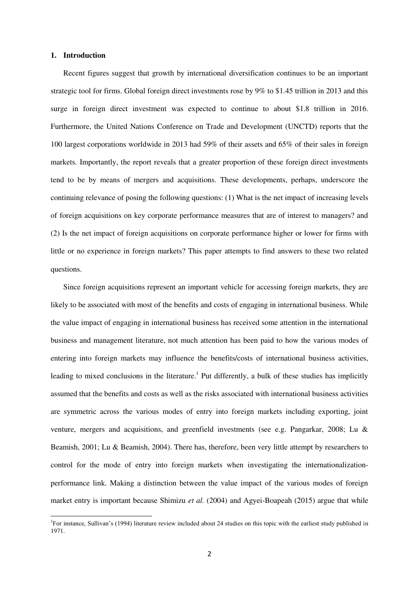#### **1. Introduction**

 $\overline{a}$ 

Recent figures suggest that growth by international diversification continues to be an important strategic tool for firms. Global foreign direct investments rose by 9% to \$1.45 trillion in 2013 and this surge in foreign direct investment was expected to continue to about \$1.8 trillion in 2016. Furthermore, the United Nations Conference on Trade and Development (UNCTD) reports that the 100 largest corporations worldwide in 2013 had 59% of their assets and 65% of their sales in foreign markets. Importantly, the report reveals that a greater proportion of these foreign direct investments tend to be by means of mergers and acquisitions. These developments, perhaps, underscore the continuing relevance of posing the following questions: (1) What is the net impact of increasing levels of foreign acquisitions on key corporate performance measures that are of interest to managers? and (2) Is the net impact of foreign acquisitions on corporate performance higher or lower for firms with little or no experience in foreign markets? This paper attempts to find answers to these two related questions.

Since foreign acquisitions represent an important vehicle for accessing foreign markets, they are likely to be associated with most of the benefits and costs of engaging in international business. While the value impact of engaging in international business has received some attention in the international business and management literature, not much attention has been paid to how the various modes of entering into foreign markets may influence the benefits/costs of international business activities, leading to mixed conclusions in the literature.<sup>1</sup> Put differently, a bulk of these studies has implicitly assumed that the benefits and costs as well as the risks associated with international business activities are symmetric across the various modes of entry into foreign markets including exporting, joint venture, mergers and acquisitions, and greenfield investments (see e.g. Pangarkar, 2008; Lu & Beamish, 2001; Lu & Beamish, 2004). There has, therefore, been very little attempt by researchers to control for the mode of entry into foreign markets when investigating the internationalizationperformance link. Making a distinction between the value impact of the various modes of foreign market entry is important because Shimizu *et al.* (2004) and Agyei-Boapeah (2015) argue that while

<sup>&</sup>lt;sup>1</sup>For instance, Sullivan's (1994) literature review included about 24 studies on this topic with the earliest study published in 1971.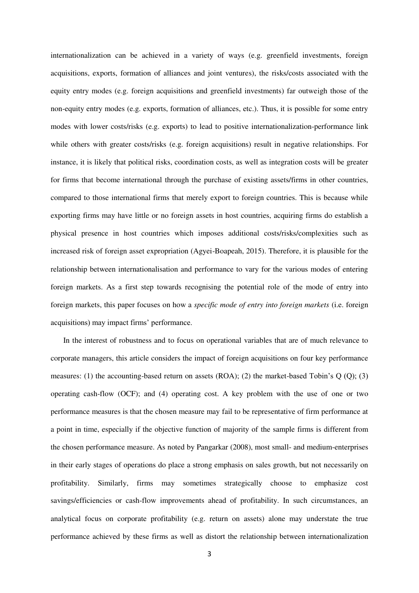internationalization can be achieved in a variety of ways (e.g. greenfield investments, foreign acquisitions, exports, formation of alliances and joint ventures), the risks/costs associated with the equity entry modes (e.g. foreign acquisitions and greenfield investments) far outweigh those of the non-equity entry modes (e.g. exports, formation of alliances, etc.). Thus, it is possible for some entry modes with lower costs/risks (e.g. exports) to lead to positive internationalization-performance link while others with greater costs/risks (e.g. foreign acquisitions) result in negative relationships. For instance, it is likely that political risks, coordination costs, as well as integration costs will be greater for firms that become international through the purchase of existing assets/firms in other countries, compared to those international firms that merely export to foreign countries. This is because while exporting firms may have little or no foreign assets in host countries, acquiring firms do establish a physical presence in host countries which imposes additional costs/risks/complexities such as increased risk of foreign asset expropriation (Agyei-Boapeah, 2015). Therefore, it is plausible for the relationship between internationalisation and performance to vary for the various modes of entering foreign markets. As a first step towards recognising the potential role of the mode of entry into foreign markets, this paper focuses on how a *specific mode of entry into foreign markets* (i.e. foreign acquisitions) may impact firms' performance.

In the interest of robustness and to focus on operational variables that are of much relevance to corporate managers, this article considers the impact of foreign acquisitions on four key performance measures: (1) the accounting-based return on assets (ROA); (2) the market-based Tobin's Q (Q); (3) operating cash-flow (OCF); and (4) operating cost. A key problem with the use of one or two performance measures is that the chosen measure may fail to be representative of firm performance at a point in time, especially if the objective function of majority of the sample firms is different from the chosen performance measure. As noted by Pangarkar (2008), most small- and medium-enterprises in their early stages of operations do place a strong emphasis on sales growth, but not necessarily on profitability. Similarly, firms may sometimes strategically choose to emphasize cost savings/efficiencies or cash-flow improvements ahead of profitability. In such circumstances, an analytical focus on corporate profitability (e.g. return on assets) alone may understate the true performance achieved by these firms as well as distort the relationship between internationalization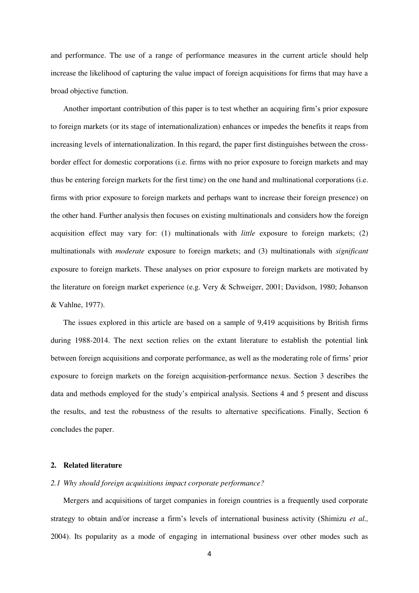and performance. The use of a range of performance measures in the current article should help increase the likelihood of capturing the value impact of foreign acquisitions for firms that may have a broad objective function.

Another important contribution of this paper is to test whether an acquiring firm's prior exposure to foreign markets (or its stage of internationalization) enhances or impedes the benefits it reaps from increasing levels of internationalization. In this regard, the paper first distinguishes between the crossborder effect for domestic corporations (i.e. firms with no prior exposure to foreign markets and may thus be entering foreign markets for the first time) on the one hand and multinational corporations (i.e. firms with prior exposure to foreign markets and perhaps want to increase their foreign presence) on the other hand. Further analysis then focuses on existing multinationals and considers how the foreign acquisition effect may vary for: (1) multinationals with *little* exposure to foreign markets; (2) multinationals with *moderate* exposure to foreign markets; and (3) multinationals with *significant* exposure to foreign markets. These analyses on prior exposure to foreign markets are motivated by the literature on foreign market experience (e.g. Very & Schweiger, 2001; Davidson, 1980; Johanson & Vahlne, 1977).

The issues explored in this article are based on a sample of 9,419 acquisitions by British firms during 1988-2014. The next section relies on the extant literature to establish the potential link between foreign acquisitions and corporate performance, as well as the moderating role of firms' prior exposure to foreign markets on the foreign acquisition-performance nexus. Section 3 describes the data and methods employed for the study's empirical analysis. Sections 4 and 5 present and discuss the results, and test the robustness of the results to alternative specifications. Finally, Section 6 concludes the paper.

#### **2. Related literature**

# *2.1 Why should foreign acquisitions impact corporate performance?*

Mergers and acquisitions of target companies in foreign countries is a frequently used corporate strategy to obtain and/or increase a firm's levels of international business activity (Shimizu *et al.,* 2004). Its popularity as a mode of engaging in international business over other modes such as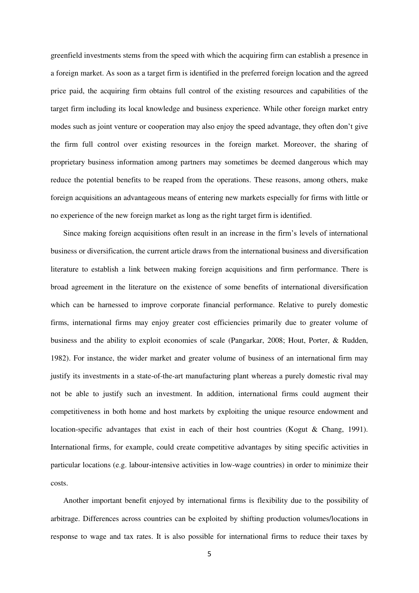greenfield investments stems from the speed with which the acquiring firm can establish a presence in a foreign market. As soon as a target firm is identified in the preferred foreign location and the agreed price paid, the acquiring firm obtains full control of the existing resources and capabilities of the target firm including its local knowledge and business experience. While other foreign market entry modes such as joint venture or cooperation may also enjoy the speed advantage, they often don't give the firm full control over existing resources in the foreign market. Moreover, the sharing of proprietary business information among partners may sometimes be deemed dangerous which may reduce the potential benefits to be reaped from the operations. These reasons, among others, make foreign acquisitions an advantageous means of entering new markets especially for firms with little or no experience of the new foreign market as long as the right target firm is identified.

Since making foreign acquisitions often result in an increase in the firm's levels of international business or diversification, the current article draws from the international business and diversification literature to establish a link between making foreign acquisitions and firm performance. There is broad agreement in the literature on the existence of some benefits of international diversification which can be harnessed to improve corporate financial performance. Relative to purely domestic firms, international firms may enjoy greater cost efficiencies primarily due to greater volume of business and the ability to exploit economies of scale (Pangarkar, 2008; Hout, Porter, & Rudden, 1982). For instance, the wider market and greater volume of business of an international firm may justify its investments in a state-of-the-art manufacturing plant whereas a purely domestic rival may not be able to justify such an investment. In addition, international firms could augment their competitiveness in both home and host markets by exploiting the unique resource endowment and location-specific advantages that exist in each of their host countries (Kogut & Chang, 1991). International firms, for example, could create competitive advantages by siting specific activities in particular locations (e.g. labour-intensive activities in low-wage countries) in order to minimize their costs.

Another important benefit enjoyed by international firms is flexibility due to the possibility of arbitrage. Differences across countries can be exploited by shifting production volumes/locations in response to wage and tax rates. It is also possible for international firms to reduce their taxes by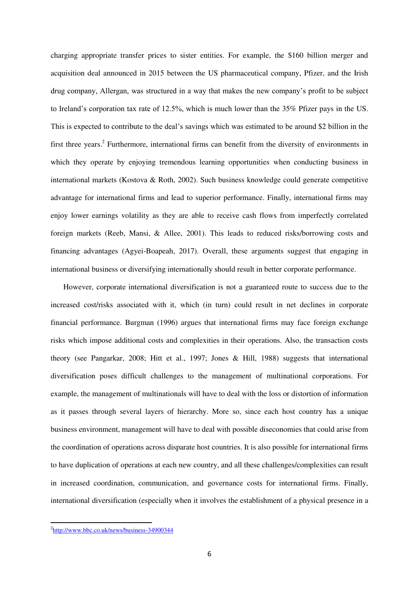charging appropriate transfer prices to sister entities. For example, the \$160 billion merger and acquisition deal announced in 2015 between the US pharmaceutical company, Pfizer, and the Irish drug company, Allergan, was structured in a way that makes the new company's profit to be subject to Ireland's corporation tax rate of 12.5%, which is much lower than the 35% Pfizer pays in the US. This is expected to contribute to the deal's savings which was estimated to be around \$2 billion in the first three years.<sup>2</sup> Furthermore, international firms can benefit from the diversity of environments in which they operate by enjoying tremendous learning opportunities when conducting business in international markets (Kostova & Roth, 2002). Such business knowledge could generate competitive advantage for international firms and lead to superior performance. Finally, international firms may enjoy lower earnings volatility as they are able to receive cash flows from imperfectly correlated foreign markets (Reeb, Mansi, & Allee, 2001). This leads to reduced risks/borrowing costs and financing advantages (Agyei-Boapeah, 2017). Overall, these arguments suggest that engaging in international business or diversifying internationally should result in better corporate performance.

However, corporate international diversification is not a guaranteed route to success due to the increased cost/risks associated with it, which (in turn) could result in net declines in corporate financial performance. Burgman (1996) argues that international firms may face foreign exchange risks which impose additional costs and complexities in their operations. Also, the transaction costs theory (see Pangarkar, 2008; Hitt et al., 1997; Jones & Hill, 1988) suggests that international diversification poses difficult challenges to the management of multinational corporations. For example, the management of multinationals will have to deal with the loss or distortion of information as it passes through several layers of hierarchy. More so, since each host country has a unique business environment, management will have to deal with possible diseconomies that could arise from the coordination of operations across disparate host countries. It is also possible for international firms to have duplication of operations at each new country, and all these challenges/complexities can result in increased coordination, communication, and governance costs for international firms. Finally, international diversification (especially when it involves the establishment of a physical presence in a

 $\overline{a}$ 

<sup>&</sup>lt;sup>2</sup><http://www.bbc.co.uk/news/business-34900344>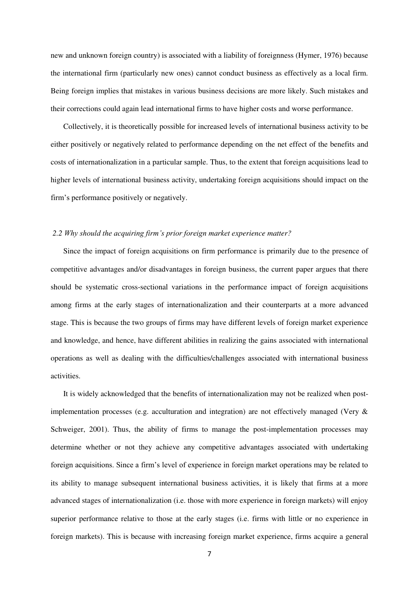new and unknown foreign country) is associated with a liability of foreignness (Hymer, 1976) because the international firm (particularly new ones) cannot conduct business as effectively as a local firm. Being foreign implies that mistakes in various business decisions are more likely. Such mistakes and their corrections could again lead international firms to have higher costs and worse performance.

Collectively, it is theoretically possible for increased levels of international business activity to be either positively or negatively related to performance depending on the net effect of the benefits and costs of internationalization in a particular sample. Thus, to the extent that foreign acquisitions lead to higher levels of international business activity, undertaking foreign acquisitions should impact on the firm's performance positively or negatively.

## *2.2 Why should the acquiring firm's prior foreign market experience matter?*

Since the impact of foreign acquisitions on firm performance is primarily due to the presence of competitive advantages and/or disadvantages in foreign business, the current paper argues that there should be systematic cross-sectional variations in the performance impact of foreign acquisitions among firms at the early stages of internationalization and their counterparts at a more advanced stage. This is because the two groups of firms may have different levels of foreign market experience and knowledge, and hence, have different abilities in realizing the gains associated with international operations as well as dealing with the difficulties/challenges associated with international business activities.

It is widely acknowledged that the benefits of internationalization may not be realized when postimplementation processes (e.g. acculturation and integration) are not effectively managed (Very & Schweiger, 2001). Thus, the ability of firms to manage the post-implementation processes may determine whether or not they achieve any competitive advantages associated with undertaking foreign acquisitions. Since a firm's level of experience in foreign market operations may be related to its ability to manage subsequent international business activities, it is likely that firms at a more advanced stages of internationalization (i.e. those with more experience in foreign markets) will enjoy superior performance relative to those at the early stages (i.e. firms with little or no experience in foreign markets). This is because with increasing foreign market experience, firms acquire a general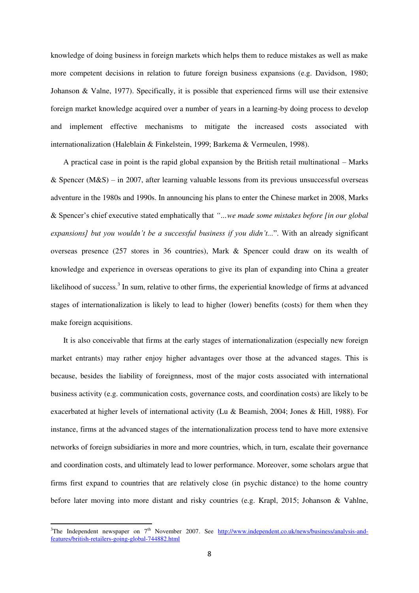knowledge of doing business in foreign markets which helps them to reduce mistakes as well as make more competent decisions in relation to future foreign business expansions (e.g. Davidson, 1980; Johanson & Valne, 1977). Specifically, it is possible that experienced firms will use their extensive foreign market knowledge acquired over a number of years in a learning-by doing process to develop and implement effective mechanisms to mitigate the increased costs associated with internationalization (Haleblain & Finkelstein, 1999; Barkema & Vermeulen, 1998).

A practical case in point is the rapid global expansion by the British retail multinational – Marks & Spencer ( $M&S$ ) – in 2007, after learning valuable lessons from its previous unsuccessful overseas adventure in the 1980s and 1990s. In announcing his plans to enter the Chinese market in 2008, Marks & Spencer's chief executive stated emphatically that *"…we made some mistakes before [in our global expansions] but you wouldn't be a successful business if you didn't...*". With an already significant overseas presence (257 stores in 36 countries), Mark & Spencer could draw on its wealth of knowledge and experience in overseas operations to give its plan of expanding into China a greater likelihood of success.<sup>3</sup> In sum, relative to other firms, the experiential knowledge of firms at advanced stages of internationalization is likely to lead to higher (lower) benefits (costs) for them when they make foreign acquisitions.

It is also conceivable that firms at the early stages of internationalization (especially new foreign market entrants) may rather enjoy higher advantages over those at the advanced stages. This is because, besides the liability of foreignness, most of the major costs associated with international business activity (e.g. communication costs, governance costs, and coordination costs) are likely to be exacerbated at higher levels of international activity (Lu & Beamish, 2004; Jones & Hill, 1988). For instance, firms at the advanced stages of the internationalization process tend to have more extensive networks of foreign subsidiaries in more and more countries, which, in turn, escalate their governance and coordination costs, and ultimately lead to lower performance. Moreover, some scholars argue that firms first expand to countries that are relatively close (in psychic distance) to the home country before later moving into more distant and risky countries (e.g. Krapl, 2015; Johanson & Vahlne,

 $\overline{a}$ 

 $3$ The Independent newspaper on  $7<sup>th</sup>$  November 2007. See [http://www.independent.co.uk/news/business/analysis-and](http://www.independent.co.uk/news/business/analysis-and-features/british-retailers-going-global-744882.html)[features/british-retailers-going-global-744882.html](http://www.independent.co.uk/news/business/analysis-and-features/british-retailers-going-global-744882.html)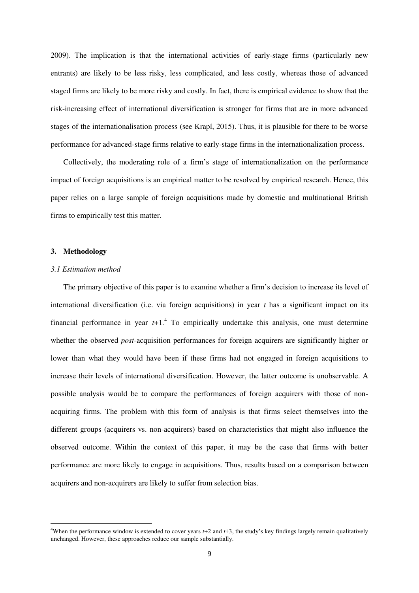2009). The implication is that the international activities of early-stage firms (particularly new entrants) are likely to be less risky, less complicated, and less costly, whereas those of advanced staged firms are likely to be more risky and costly. In fact, there is empirical evidence to show that the risk-increasing effect of international diversification is stronger for firms that are in more advanced stages of the internationalisation process (see Krapl, 2015). Thus, it is plausible for there to be worse performance for advanced-stage firms relative to early-stage firms in the internationalization process.

Collectively, the moderating role of a firm's stage of internationalization on the performance impact of foreign acquisitions is an empirical matter to be resolved by empirical research. Hence, this paper relies on a large sample of foreign acquisitions made by domestic and multinational British firms to empirically test this matter.

### **3. Methodology**

 $\overline{a}$ 

#### *3.1 Estimation method*

The primary objective of this paper is to examine whether a firm's decision to increase its level of international diversification (i.e. via foreign acquisitions) in year *t* has a significant impact on its financial performance in year  $t+1$ <sup>4</sup>. To empirically undertake this analysis, one must determine whether the observed *post*-acquisition performances for foreign acquirers are significantly higher or lower than what they would have been if these firms had not engaged in foreign acquisitions to increase their levels of international diversification. However, the latter outcome is unobservable. A possible analysis would be to compare the performances of foreign acquirers with those of nonacquiring firms. The problem with this form of analysis is that firms select themselves into the different groups (acquirers vs. non-acquirers) based on characteristics that might also influence the observed outcome. Within the context of this paper, it may be the case that firms with better performance are more likely to engage in acquisitions. Thus, results based on a comparison between acquirers and non-acquirers are likely to suffer from selection bias.

<sup>4</sup>When the performance window is extended to cover years *t*+2 and *t*+3, the study's key findings largely remain qualitatively unchanged. However, these approaches reduce our sample substantially.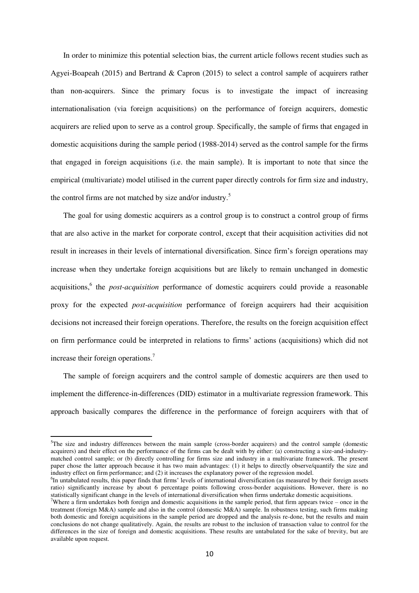In order to minimize this potential selection bias, the current article follows recent studies such as Agyei-Boapeah (2015) and Bertrand & Capron (2015) to select a control sample of acquirers rather than non-acquirers. Since the primary focus is to investigate the impact of increasing internationalisation (via foreign acquisitions) on the performance of foreign acquirers, domestic acquirers are relied upon to serve as a control group. Specifically, the sample of firms that engaged in domestic acquisitions during the sample period (1988-2014) served as the control sample for the firms that engaged in foreign acquisitions (i.e. the main sample). It is important to note that since the empirical (multivariate) model utilised in the current paper directly controls for firm size and industry, the control firms are not matched by size and/or industry.<sup>5</sup>

The goal for using domestic acquirers as a control group is to construct a control group of firms that are also active in the market for corporate control, except that their acquisition activities did not result in increases in their levels of international diversification. Since firm's foreign operations may increase when they undertake foreign acquisitions but are likely to remain unchanged in domestic acquisitions,<sup>6</sup> the *post-acquisition* performance of domestic acquirers could provide a reasonable proxy for the expected *post-acquisition* performance of foreign acquirers had their acquisition decisions not increased their foreign operations. Therefore, the results on the foreign acquisition effect on firm performance could be interpreted in relations to firms' actions (acquisitions) which did not increase their foreign operations.<sup>7</sup>

The sample of foreign acquirers and the control sample of domestic acquirers are then used to implement the difference-in-differences (DID) estimator in a multivariate regression framework. This approach basically compares the difference in the performance of foreign acquirers with that of

 $\overline{a}$ 

<sup>&</sup>lt;sup>5</sup>The size and industry differences between the main sample (cross-border acquirers) and the control sample (domestic acquirers) and their effect on the performance of the firms can be dealt with by either: (a) constructing a size-and-industrymatched control sample; or (b) directly controlling for firms size and industry in a multivariate framework. The present paper chose the latter approach because it has two main advantages: (1) it helps to directly observe/quantify the size and industry effect on firm performance; and (2) it increases the explanatory power of the regression model.

<sup>&</sup>lt;sup>6</sup>In untabulated results, this paper finds that firms' levels of international diversification (as measured by their foreign assets ratio) significantly increase by about 6 percentage points following cross-border acquisitions. However, there is no statistically significant change in the levels of international diversification when firms undertake domestic acquisitions.

<sup>&</sup>lt;sup>7</sup>Where a firm undertakes both foreign and domestic acquisitions in the sample period, that firm appears twice – once in the treatment (foreign M&A) sample and also in the control (domestic M&A) sample. In robustness testing, such firms making both domestic and foreign acquisitions in the sample period are dropped and the analysis re-done, but the results and main conclusions do not change qualitatively. Again, the results are robust to the inclusion of transaction value to control for the differences in the size of foreign and domestic acquisitions. These results are untabulated for the sake of brevity, but are available upon request.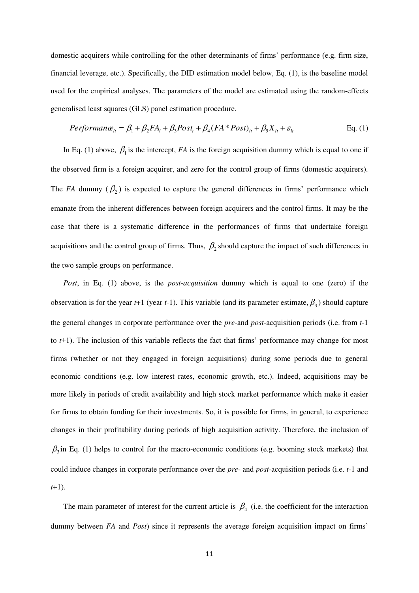domestic acquirers while controlling for the other determinants of firms' performance (e.g. firm size, financial leverage, etc.). Specifically, the DID estimation model below, Eq. (1), is the baseline model used for the empirical analyses. The parameters of the model are estimated using the random-effects generalised least squares (GLS) panel estimation procedure.

$$
Performance_{it} = \beta_1 + \beta_2 FA_i + \beta_3 Post_t + \beta_4 (FA * Post)_{it} + \beta_5 X_{it} + \varepsilon_{it}
$$
 Eq. (1)

In Eq. (1) above,  $\beta_1$  is the intercept, *FA* is the foreign acquisition dummy which is equal to one if the observed firm is a foreign acquirer, and zero for the control group of firms (domestic acquirers). The *FA* dummy  $(\beta_2)$  is expected to capture the general differences in firms' performance which emanate from the inherent differences between foreign acquirers and the control firms. It may be the case that there is a systematic difference in the performances of firms that undertake foreign acquisitions and the control group of firms. Thus,  $\beta_2$  should capture the impact of such differences in the two sample groups on performance.

*Post*, in Eq. (1) above, is the *post-acquisition* dummy which is equal to one (zero) if the observation is for the year  $t+1$  (year  $t-1$ ). This variable (and its parameter estimate,  $\beta_3$ ) should capture the general changes in corporate performance over the *pre*-and *post*-acquisition periods (i.e. from *t*-1 to *t*+1). The inclusion of this variable reflects the fact that firms' performance may change for most firms (whether or not they engaged in foreign acquisitions) during some periods due to general economic conditions (e.g. low interest rates, economic growth, etc.). Indeed, acquisitions may be more likely in periods of credit availability and high stock market performance which make it easier for firms to obtain funding for their investments. So, it is possible for firms, in general, to experience changes in their profitability during periods of high acquisition activity. Therefore, the inclusion of  $\beta_3$  in Eq. (1) helps to control for the macro-economic conditions (e.g. booming stock markets) that could induce changes in corporate performance over the *pre*- and *post*-acquisition periods (i.e. *t*-1 and *t*+1).

The main parameter of interest for the current article is  $\beta_4$  (i.e. the coefficient for the interaction dummy between *FA* and *Post*) since it represents the average foreign acquisition impact on firms'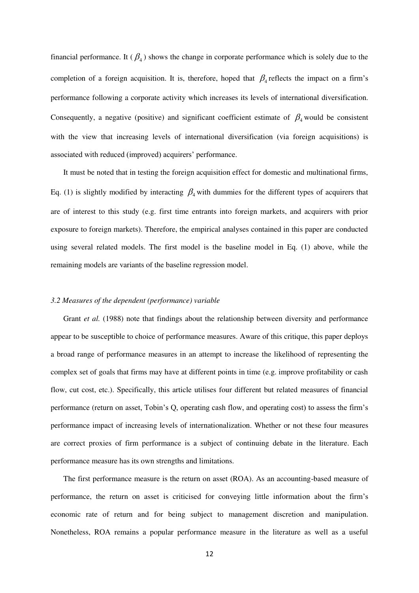financial performance. It  $(\beta_4)$  shows the change in corporate performance which is solely due to the completion of a foreign acquisition. It is, therefore, hoped that  $\beta_4$  reflects the impact on a firm's performance following a corporate activity which increases its levels of international diversification. Consequently, a negative (positive) and significant coefficient estimate of  $\beta_4$  would be consistent with the view that increasing levels of international diversification (via foreign acquisitions) is associated with reduced (improved) acquirers' performance.

It must be noted that in testing the foreign acquisition effect for domestic and multinational firms, Eq. (1) is slightly modified by interacting  $\beta_4$  with dummies for the different types of acquirers that are of interest to this study (e.g. first time entrants into foreign markets, and acquirers with prior exposure to foreign markets). Therefore, the empirical analyses contained in this paper are conducted using several related models. The first model is the baseline model in Eq. (1) above, while the remaining models are variants of the baseline regression model.

#### *3.2 Measures of the dependent (performance) variable*

Grant *et al.* (1988) note that findings about the relationship between diversity and performance appear to be susceptible to choice of performance measures. Aware of this critique, this paper deploys a broad range of performance measures in an attempt to increase the likelihood of representing the complex set of goals that firms may have at different points in time (e.g. improve profitability or cash flow, cut cost, etc.). Specifically, this article utilises four different but related measures of financial performance (return on asset, Tobin's Q, operating cash flow, and operating cost) to assess the firm's performance impact of increasing levels of internationalization. Whether or not these four measures are correct proxies of firm performance is a subject of continuing debate in the literature. Each performance measure has its own strengths and limitations.

The first performance measure is the return on asset (ROA). As an accounting-based measure of performance, the return on asset is criticised for conveying little information about the firm's economic rate of return and for being subject to management discretion and manipulation. Nonetheless, ROA remains a popular performance measure in the literature as well as a useful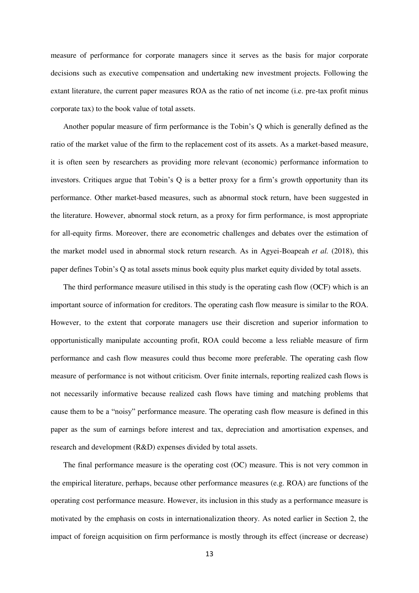measure of performance for corporate managers since it serves as the basis for major corporate decisions such as executive compensation and undertaking new investment projects. Following the extant literature, the current paper measures ROA as the ratio of net income (i.e. pre-tax profit minus corporate tax) to the book value of total assets.

Another popular measure of firm performance is the Tobin's Q which is generally defined as the ratio of the market value of the firm to the replacement cost of its assets. As a market-based measure, it is often seen by researchers as providing more relevant (economic) performance information to investors. Critiques argue that Tobin's Q is a better proxy for a firm's growth opportunity than its performance. Other market-based measures, such as abnormal stock return, have been suggested in the literature. However, abnormal stock return, as a proxy for firm performance, is most appropriate for all-equity firms. Moreover, there are econometric challenges and debates over the estimation of the market model used in abnormal stock return research. As in Agyei-Boapeah *et al.* (2018), this paper defines Tobin's Q as total assets minus book equity plus market equity divided by total assets.

The third performance measure utilised in this study is the operating cash flow (OCF) which is an important source of information for creditors. The operating cash flow measure is similar to the ROA. However, to the extent that corporate managers use their discretion and superior information to opportunistically manipulate accounting profit, ROA could become a less reliable measure of firm performance and cash flow measures could thus become more preferable. The operating cash flow measure of performance is not without criticism. Over finite internals, reporting realized cash flows is not necessarily informative because realized cash flows have timing and matching problems that cause them to be a "noisy" performance measure. The operating cash flow measure is defined in this paper as the sum of earnings before interest and tax, depreciation and amortisation expenses, and research and development (R&D) expenses divided by total assets.

The final performance measure is the operating cost (OC) measure. This is not very common in the empirical literature, perhaps, because other performance measures (e.g. ROA) are functions of the operating cost performance measure. However, its inclusion in this study as a performance measure is motivated by the emphasis on costs in internationalization theory. As noted earlier in Section 2, the impact of foreign acquisition on firm performance is mostly through its effect (increase or decrease)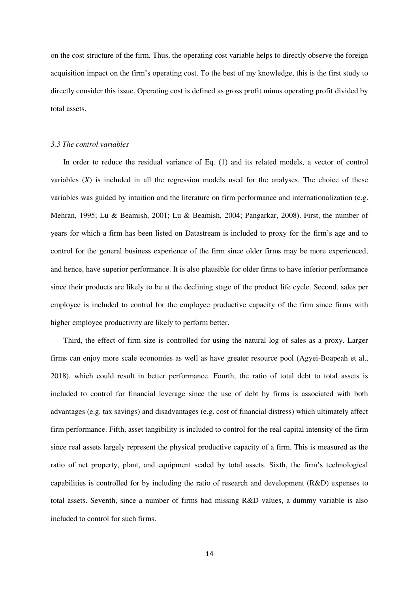on the cost structure of the firm. Thus, the operating cost variable helps to directly observe the foreign acquisition impact on the firm's operating cost. To the best of my knowledge, this is the first study to directly consider this issue. Operating cost is defined as gross profit minus operating profit divided by total assets.

#### *3.3 The control variables*

In order to reduce the residual variance of Eq. (1) and its related models, a vector of control variables (*X*) is included in all the regression models used for the analyses. The choice of these variables was guided by intuition and the literature on firm performance and internationalization (e.g. Mehran, 1995; Lu & Beamish, 2001; Lu & Beamish, 2004; Pangarkar, 2008). First, the number of years for which a firm has been listed on Datastream is included to proxy for the firm's age and to control for the general business experience of the firm since older firms may be more experienced, and hence, have superior performance. It is also plausible for older firms to have inferior performance since their products are likely to be at the declining stage of the product life cycle. Second, sales per employee is included to control for the employee productive capacity of the firm since firms with higher employee productivity are likely to perform better.

Third, the effect of firm size is controlled for using the natural log of sales as a proxy. Larger firms can enjoy more scale economies as well as have greater resource pool (Agyei-Boapeah et al., 2018), which could result in better performance. Fourth, the ratio of total debt to total assets is included to control for financial leverage since the use of debt by firms is associated with both advantages (e.g. tax savings) and disadvantages (e.g. cost of financial distress) which ultimately affect firm performance. Fifth, asset tangibility is included to control for the real capital intensity of the firm since real assets largely represent the physical productive capacity of a firm. This is measured as the ratio of net property, plant, and equipment scaled by total assets. Sixth, the firm's technological capabilities is controlled for by including the ratio of research and development (R&D) expenses to total assets. Seventh, since a number of firms had missing R&D values, a dummy variable is also included to control for such firms.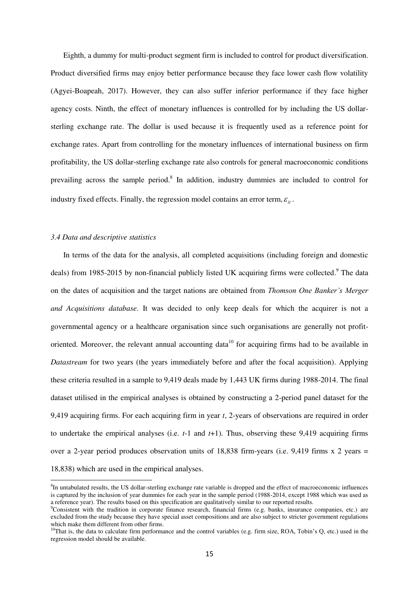Eighth, a dummy for multi-product segment firm is included to control for product diversification. Product diversified firms may enjoy better performance because they face lower cash flow volatility (Agyei-Boapeah, 2017). However, they can also suffer inferior performance if they face higher agency costs. Ninth, the effect of monetary influences is controlled for by including the US dollarsterling exchange rate. The dollar is used because it is frequently used as a reference point for exchange rates. Apart from controlling for the monetary influences of international business on firm profitability, the US dollar-sterling exchange rate also controls for general macroeconomic conditions prevailing across the sample period.<sup>8</sup> In addition, industry dummies are included to control for industry fixed effects. Finally, the regression model contains an error term,  $\varepsilon_{i}$ .

## *3.4 Data and descriptive statistics*

 $\overline{a}$ 

In terms of the data for the analysis, all completed acquisitions (including foreign and domestic deals) from 1985-2015 by non-financial publicly listed UK acquiring firms were collected.<sup>9</sup> The data on the dates of acquisition and the target nations are obtained from *Thomson One Banker's Merger and Acquisitions database*. It was decided to only keep deals for which the acquirer is not a governmental agency or a healthcare organisation since such organisations are generally not profitoriented. Moreover, the relevant annual accounting data<sup>10</sup> for acquiring firms had to be available in *Datastream* for two years (the years immediately before and after the focal acquisition). Applying these criteria resulted in a sample to 9,419 deals made by 1,443 UK firms during 1988-2014. The final dataset utilised in the empirical analyses is obtained by constructing a 2-period panel dataset for the 9,419 acquiring firms. For each acquiring firm in year *t*, 2-years of observations are required in order to undertake the empirical analyses (i.e. *t*-1 and *t*+1). Thus, observing these 9,419 acquiring firms over a 2-year period produces observation units of 18,838 firm-years (i.e. 9,419 firms  $x$  2 years = 18,838) which are used in the empirical analyses.

<sup>&</sup>lt;sup>8</sup>In untabulated results, the US dollar-sterling exchange rate variable is dropped and the effect of macroeconomic influences is captured by the inclusion of year dummies for each year in the sample period (1988-2014, except 1988 which was used as a reference year). The results based on this specification are qualitatively similar to our reported results.

<sup>&</sup>lt;sup>9</sup>Consistent with the tradition in corporate finance research, financial firms (e.g. banks, insurance companies, etc.) are excluded from the study because they have special asset compositions and are also subject to stricter government regulations which make them different from other firms.

 $10$ That is, the data to calculate firm performance and the control variables (e.g. firm size, ROA, Tobin's Q, etc.) used in the regression model should be available.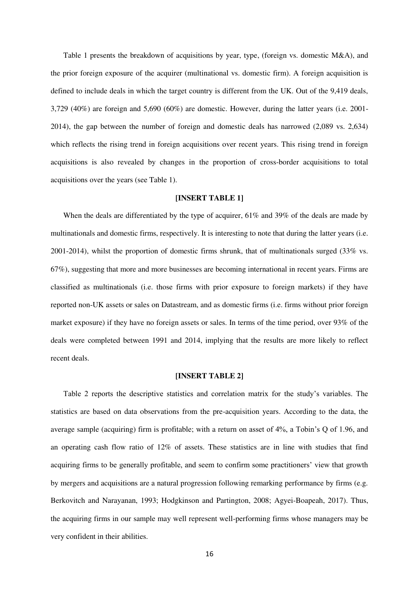Table 1 presents the breakdown of acquisitions by year, type, (foreign vs. domestic M&A), and the prior foreign exposure of the acquirer (multinational vs. domestic firm). A foreign acquisition is defined to include deals in which the target country is different from the UK. Out of the 9,419 deals, 3,729 (40%) are foreign and 5,690 (60%) are domestic. However, during the latter years (i.e. 2001- 2014), the gap between the number of foreign and domestic deals has narrowed (2,089 vs. 2,634) which reflects the rising trend in foreign acquisitions over recent years. This rising trend in foreign acquisitions is also revealed by changes in the proportion of cross-border acquisitions to total acquisitions over the years (see Table 1).

# **[INSERT TABLE 1]**

When the deals are differentiated by the type of acquirer, 61% and 39% of the deals are made by multinationals and domestic firms, respectively. It is interesting to note that during the latter years (i.e. 2001-2014), whilst the proportion of domestic firms shrunk, that of multinationals surged (33% vs. 67%), suggesting that more and more businesses are becoming international in recent years. Firms are classified as multinationals (i.e. those firms with prior exposure to foreign markets) if they have reported non-UK assets or sales on Datastream, and as domestic firms (i.e. firms without prior foreign market exposure) if they have no foreign assets or sales. In terms of the time period, over 93% of the deals were completed between 1991 and 2014, implying that the results are more likely to reflect recent deals.

#### **[INSERT TABLE 2]**

Table 2 reports the descriptive statistics and correlation matrix for the study's variables. The statistics are based on data observations from the pre-acquisition years. According to the data, the average sample (acquiring) firm is profitable; with a return on asset of 4%, a Tobin's Q of 1.96, and an operating cash flow ratio of 12% of assets. These statistics are in line with studies that find acquiring firms to be generally profitable, and seem to confirm some practitioners' view that growth by mergers and acquisitions are a natural progression following remarking performance by firms (e.g. Berkovitch and Narayanan, 1993; Hodgkinson and Partington, 2008; Agyei-Boapeah, 2017). Thus, the acquiring firms in our sample may well represent well-performing firms whose managers may be very confident in their abilities.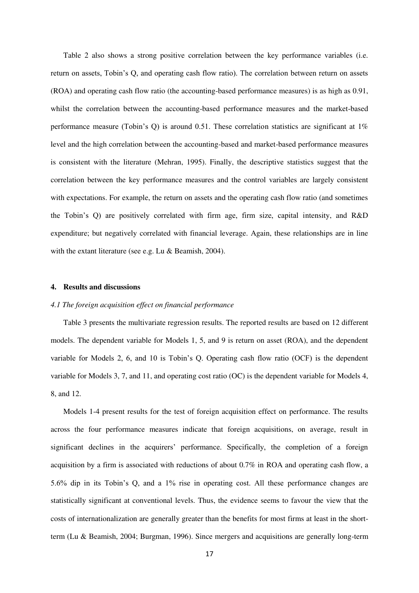Table 2 also shows a strong positive correlation between the key performance variables (i.e. return on assets, Tobin's Q, and operating cash flow ratio). The correlation between return on assets (ROA) and operating cash flow ratio (the accounting-based performance measures) is as high as 0.91, whilst the correlation between the accounting-based performance measures and the market-based performance measure (Tobin's Q) is around 0.51. These correlation statistics are significant at 1% level and the high correlation between the accounting-based and market-based performance measures is consistent with the literature (Mehran, 1995). Finally, the descriptive statistics suggest that the correlation between the key performance measures and the control variables are largely consistent with expectations. For example, the return on assets and the operating cash flow ratio (and sometimes the Tobin's Q) are positively correlated with firm age, firm size, capital intensity, and R&D expenditure; but negatively correlated with financial leverage. Again, these relationships are in line with the extant literature (see e.g. Lu & Beamish, 2004).

## **4. Results and discussions**

# *4.1 The foreign acquisition effect on financial performance*

Table 3 presents the multivariate regression results. The reported results are based on 12 different models. The dependent variable for Models 1, 5, and 9 is return on asset (ROA), and the dependent variable for Models 2, 6, and 10 is Tobin's Q. Operating cash flow ratio (OCF) is the dependent variable for Models 3, 7, and 11, and operating cost ratio (OC) is the dependent variable for Models 4, 8, and 12.

Models 1-4 present results for the test of foreign acquisition effect on performance. The results across the four performance measures indicate that foreign acquisitions, on average, result in significant declines in the acquirers' performance. Specifically, the completion of a foreign acquisition by a firm is associated with reductions of about 0.7% in ROA and operating cash flow, a 5.6% dip in its Tobin's Q, and a 1% rise in operating cost. All these performance changes are statistically significant at conventional levels. Thus, the evidence seems to favour the view that the costs of internationalization are generally greater than the benefits for most firms at least in the shortterm (Lu & Beamish, 2004; Burgman, 1996). Since mergers and acquisitions are generally long-term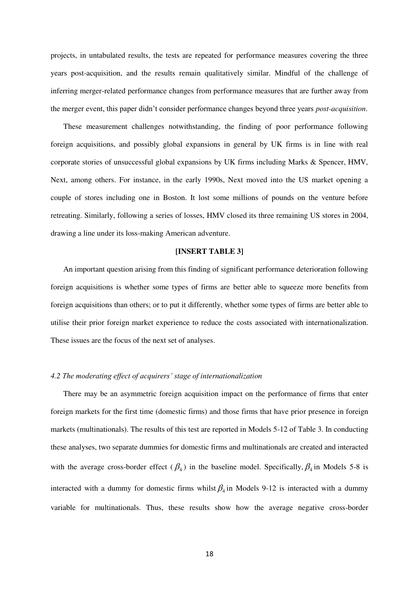projects, in untabulated results, the tests are repeated for performance measures covering the three years post-acquisition, and the results remain qualitatively similar. Mindful of the challenge of inferring merger-related performance changes from performance measures that are further away from the merger event, this paper didn't consider performance changes beyond three years *post-acquisition*.

These measurement challenges notwithstanding, the finding of poor performance following foreign acquisitions, and possibly global expansions in general by UK firms is in line with real corporate stories of unsuccessful global expansions by UK firms including Marks & Spencer, HMV, Next, among others. For instance, in the early 1990s, Next moved into the US market opening a couple of stores including one in Boston. It lost some millions of pounds on the venture before retreating. Similarly, following a series of losses, HMV closed its three remaining US stores in 2004, drawing a line under its loss-making American adventure.

# **[INSERT TABLE 3]**

An important question arising from this finding of significant performance deterioration following foreign acquisitions is whether some types of firms are better able to squeeze more benefits from foreign acquisitions than others; or to put it differently, whether some types of firms are better able to utilise their prior foreign market experience to reduce the costs associated with internationalization. These issues are the focus of the next set of analyses.

# *4.2 The moderating effect of acquirers' stage of internationalization*

There may be an asymmetric foreign acquisition impact on the performance of firms that enter foreign markets for the first time (domestic firms) and those firms that have prior presence in foreign markets (multinationals). The results of this test are reported in Models 5-12 of Table 3. In conducting these analyses, two separate dummies for domestic firms and multinationals are created and interacted with the average cross-border effect  $(\beta_4)$  in the baseline model. Specifically,  $\beta_4$  in Models 5-8 is interacted with a dummy for domestic firms whilst  $\beta_4$  in Models 9-12 is interacted with a dummy variable for multinationals. Thus, these results show how the average negative cross-border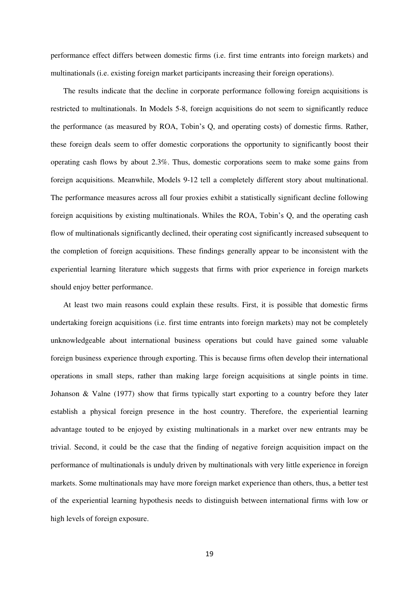performance effect differs between domestic firms (i.e. first time entrants into foreign markets) and multinationals (i.e. existing foreign market participants increasing their foreign operations).

The results indicate that the decline in corporate performance following foreign acquisitions is restricted to multinationals. In Models 5-8, foreign acquisitions do not seem to significantly reduce the performance (as measured by ROA, Tobin's Q, and operating costs) of domestic firms. Rather, these foreign deals seem to offer domestic corporations the opportunity to significantly boost their operating cash flows by about 2.3%. Thus, domestic corporations seem to make some gains from foreign acquisitions. Meanwhile, Models 9-12 tell a completely different story about multinational. The performance measures across all four proxies exhibit a statistically significant decline following foreign acquisitions by existing multinationals. Whiles the ROA, Tobin's Q, and the operating cash flow of multinationals significantly declined, their operating cost significantly increased subsequent to the completion of foreign acquisitions. These findings generally appear to be inconsistent with the experiential learning literature which suggests that firms with prior experience in foreign markets should enjoy better performance.

At least two main reasons could explain these results. First, it is possible that domestic firms undertaking foreign acquisitions (i.e. first time entrants into foreign markets) may not be completely unknowledgeable about international business operations but could have gained some valuable foreign business experience through exporting. This is because firms often develop their international operations in small steps, rather than making large foreign acquisitions at single points in time. Johanson & Valne (1977) show that firms typically start exporting to a country before they later establish a physical foreign presence in the host country. Therefore, the experiential learning advantage touted to be enjoyed by existing multinationals in a market over new entrants may be trivial. Second, it could be the case that the finding of negative foreign acquisition impact on the performance of multinationals is unduly driven by multinationals with very little experience in foreign markets. Some multinationals may have more foreign market experience than others, thus, a better test of the experiential learning hypothesis needs to distinguish between international firms with low or high levels of foreign exposure.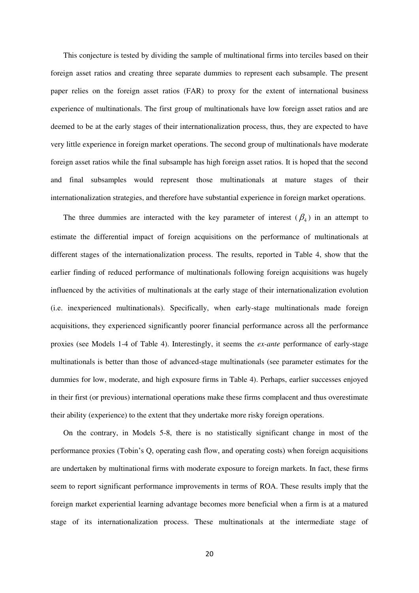This conjecture is tested by dividing the sample of multinational firms into terciles based on their foreign asset ratios and creating three separate dummies to represent each subsample. The present paper relies on the foreign asset ratios (FAR) to proxy for the extent of international business experience of multinationals. The first group of multinationals have low foreign asset ratios and are deemed to be at the early stages of their internationalization process, thus, they are expected to have very little experience in foreign market operations. The second group of multinationals have moderate foreign asset ratios while the final subsample has high foreign asset ratios. It is hoped that the second and final subsamples would represent those multinationals at mature stages of their internationalization strategies, and therefore have substantial experience in foreign market operations.

The three dummies are interacted with the key parameter of interest  $(\beta_4)$  in an attempt to estimate the differential impact of foreign acquisitions on the performance of multinationals at different stages of the internationalization process. The results, reported in Table 4, show that the earlier finding of reduced performance of multinationals following foreign acquisitions was hugely influenced by the activities of multinationals at the early stage of their internationalization evolution (i.e. inexperienced multinationals). Specifically, when early-stage multinationals made foreign acquisitions, they experienced significantly poorer financial performance across all the performance proxies (see Models 1-4 of Table 4). Interestingly, it seems the *ex-ante* performance of early-stage multinationals is better than those of advanced-stage multinationals (see parameter estimates for the dummies for low, moderate, and high exposure firms in Table 4). Perhaps, earlier successes enjoyed in their first (or previous) international operations make these firms complacent and thus overestimate their ability (experience) to the extent that they undertake more risky foreign operations.

On the contrary, in Models 5-8, there is no statistically significant change in most of the performance proxies (Tobin's Q, operating cash flow, and operating costs) when foreign acquisitions are undertaken by multinational firms with moderate exposure to foreign markets. In fact, these firms seem to report significant performance improvements in terms of ROA. These results imply that the foreign market experiential learning advantage becomes more beneficial when a firm is at a matured stage of its internationalization process. These multinationals at the intermediate stage of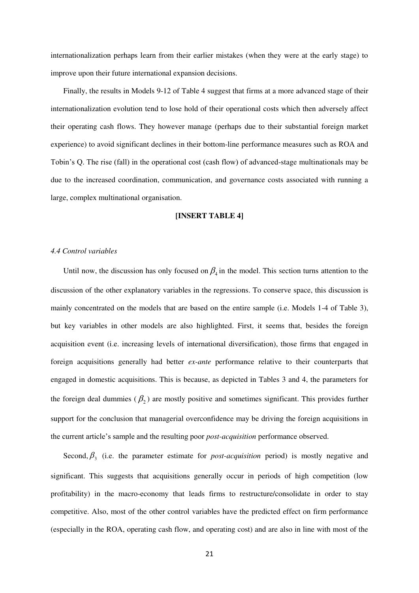internationalization perhaps learn from their earlier mistakes (when they were at the early stage) to improve upon their future international expansion decisions.

Finally, the results in Models 9-12 of Table 4 suggest that firms at a more advanced stage of their internationalization evolution tend to lose hold of their operational costs which then adversely affect their operating cash flows. They however manage (perhaps due to their substantial foreign market experience) to avoid significant declines in their bottom-line performance measures such as ROA and Tobin's Q. The rise (fall) in the operational cost (cash flow) of advanced-stage multinationals may be due to the increased coordination, communication, and governance costs associated with running a large, complex multinational organisation.

#### **[INSERT TABLE 4]**

# *4.4 Control variables*

Until now, the discussion has only focused on  $\beta_4$  in the model. This section turns attention to the discussion of the other explanatory variables in the regressions. To conserve space, this discussion is mainly concentrated on the models that are based on the entire sample (i.e. Models 1-4 of Table 3), but key variables in other models are also highlighted. First, it seems that, besides the foreign acquisition event (i.e. increasing levels of international diversification), those firms that engaged in foreign acquisitions generally had better *ex-ante* performance relative to their counterparts that engaged in domestic acquisitions. This is because, as depicted in Tables 3 and 4, the parameters for the foreign deal dummies  $(\beta_2)$  are mostly positive and sometimes significant. This provides further support for the conclusion that managerial overconfidence may be driving the foreign acquisitions in the current article's sample and the resulting poor *post-acquisition* performance observed.

Second,  $\beta_3$  (i.e. the parameter estimate for *post-acquisition* period) is mostly negative and significant. This suggests that acquisitions generally occur in periods of high competition (low profitability) in the macro-economy that leads firms to restructure/consolidate in order to stay competitive. Also, most of the other control variables have the predicted effect on firm performance (especially in the ROA, operating cash flow, and operating cost) and are also in line with most of the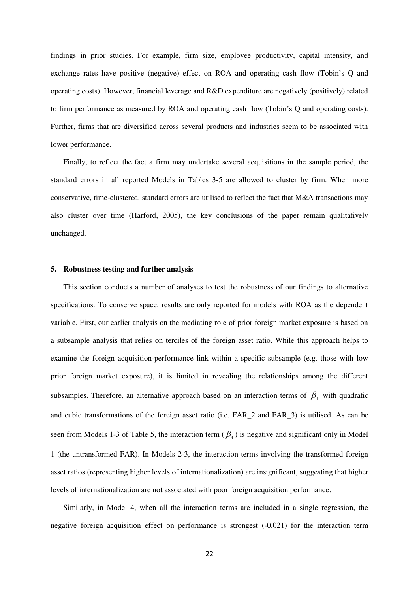findings in prior studies. For example, firm size, employee productivity, capital intensity, and exchange rates have positive (negative) effect on ROA and operating cash flow (Tobin's Q and operating costs). However, financial leverage and R&D expenditure are negatively (positively) related to firm performance as measured by ROA and operating cash flow (Tobin's Q and operating costs). Further, firms that are diversified across several products and industries seem to be associated with lower performance.

Finally, to reflect the fact a firm may undertake several acquisitions in the sample period, the standard errors in all reported Models in Tables 3-5 are allowed to cluster by firm. When more conservative, time-clustered, standard errors are utilised to reflect the fact that M&A transactions may also cluster over time (Harford, 2005), the key conclusions of the paper remain qualitatively unchanged.

### **5. Robustness testing and further analysis**

This section conducts a number of analyses to test the robustness of our findings to alternative specifications. To conserve space, results are only reported for models with ROA as the dependent variable. First, our earlier analysis on the mediating role of prior foreign market exposure is based on a subsample analysis that relies on terciles of the foreign asset ratio. While this approach helps to examine the foreign acquisition-performance link within a specific subsample (e.g. those with low prior foreign market exposure), it is limited in revealing the relationships among the different subsamples. Therefore, an alternative approach based on an interaction terms of  $\beta_4$  with quadratic and cubic transformations of the foreign asset ratio (i.e. FAR\_2 and FAR\_3) is utilised. As can be seen from Models 1-3 of Table 5, the interaction term  $(\beta_4)$  is negative and significant only in Model 1 (the untransformed FAR). In Models 2-3, the interaction terms involving the transformed foreign asset ratios (representing higher levels of internationalization) are insignificant, suggesting that higher levels of internationalization are not associated with poor foreign acquisition performance.

Similarly, in Model 4, when all the interaction terms are included in a single regression, the negative foreign acquisition effect on performance is strongest (-0.021) for the interaction term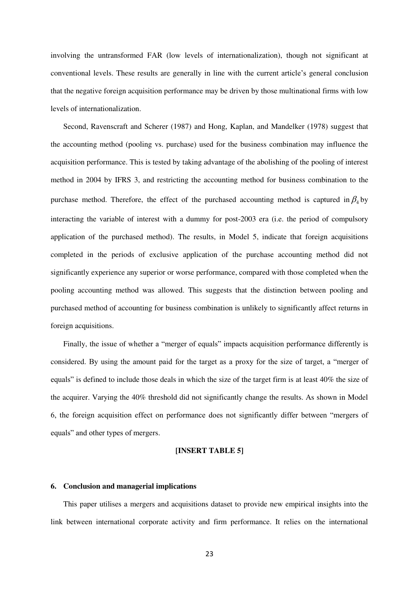involving the untransformed FAR (low levels of internationalization), though not significant at conventional levels. These results are generally in line with the current article's general conclusion that the negative foreign acquisition performance may be driven by those multinational firms with low levels of internationalization.

Second, Ravenscraft and Scherer (1987) and Hong, Kaplan, and Mandelker (1978) suggest that the accounting method (pooling vs. purchase) used for the business combination may influence the acquisition performance. This is tested by taking advantage of the abolishing of the pooling of interest method in 2004 by IFRS 3, and restricting the accounting method for business combination to the purchase method. Therefore, the effect of the purchased accounting method is captured in  $\beta_4$  by interacting the variable of interest with a dummy for post-2003 era (i.e. the period of compulsory application of the purchased method). The results, in Model 5, indicate that foreign acquisitions completed in the periods of exclusive application of the purchase accounting method did not significantly experience any superior or worse performance, compared with those completed when the pooling accounting method was allowed. This suggests that the distinction between pooling and purchased method of accounting for business combination is unlikely to significantly affect returns in foreign acquisitions.

Finally, the issue of whether a "merger of equals" impacts acquisition performance differently is considered. By using the amount paid for the target as a proxy for the size of target, a "merger of equals" is defined to include those deals in which the size of the target firm is at least 40% the size of the acquirer. Varying the 40% threshold did not significantly change the results. As shown in Model 6, the foreign acquisition effect on performance does not significantly differ between "mergers of equals" and other types of mergers.

# **[INSERT TABLE 5]**

## **6. Conclusion and managerial implications**

This paper utilises a mergers and acquisitions dataset to provide new empirical insights into the link between international corporate activity and firm performance. It relies on the international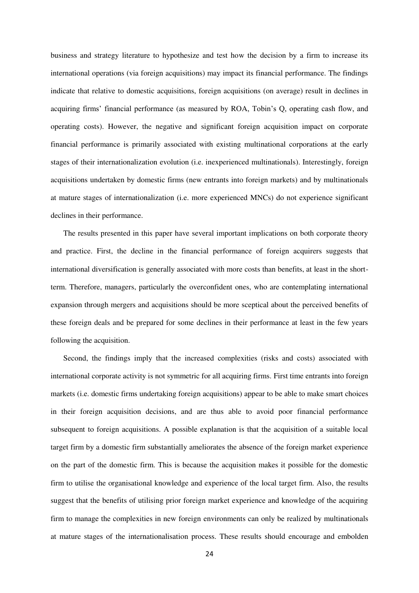business and strategy literature to hypothesize and test how the decision by a firm to increase its international operations (via foreign acquisitions) may impact its financial performance. The findings indicate that relative to domestic acquisitions, foreign acquisitions (on average) result in declines in acquiring firms' financial performance (as measured by ROA, Tobin's Q, operating cash flow, and operating costs). However, the negative and significant foreign acquisition impact on corporate financial performance is primarily associated with existing multinational corporations at the early stages of their internationalization evolution (i.e. inexperienced multinationals). Interestingly, foreign acquisitions undertaken by domestic firms (new entrants into foreign markets) and by multinationals at mature stages of internationalization (i.e. more experienced MNCs) do not experience significant declines in their performance.

The results presented in this paper have several important implications on both corporate theory and practice. First, the decline in the financial performance of foreign acquirers suggests that international diversification is generally associated with more costs than benefits, at least in the shortterm. Therefore, managers, particularly the overconfident ones, who are contemplating international expansion through mergers and acquisitions should be more sceptical about the perceived benefits of these foreign deals and be prepared for some declines in their performance at least in the few years following the acquisition.

Second, the findings imply that the increased complexities (risks and costs) associated with international corporate activity is not symmetric for all acquiring firms. First time entrants into foreign markets (i.e. domestic firms undertaking foreign acquisitions) appear to be able to make smart choices in their foreign acquisition decisions, and are thus able to avoid poor financial performance subsequent to foreign acquisitions. A possible explanation is that the acquisition of a suitable local target firm by a domestic firm substantially ameliorates the absence of the foreign market experience on the part of the domestic firm. This is because the acquisition makes it possible for the domestic firm to utilise the organisational knowledge and experience of the local target firm. Also, the results suggest that the benefits of utilising prior foreign market experience and knowledge of the acquiring firm to manage the complexities in new foreign environments can only be realized by multinationals at mature stages of the internationalisation process. These results should encourage and embolden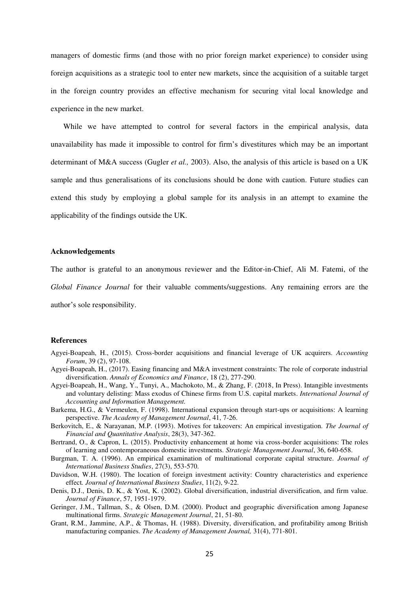managers of domestic firms (and those with no prior foreign market experience) to consider using foreign acquisitions as a strategic tool to enter new markets, since the acquisition of a suitable target in the foreign country provides an effective mechanism for securing vital local knowledge and experience in the new market.

While we have attempted to control for several factors in the empirical analysis, data unavailability has made it impossible to control for firm's divestitures which may be an important determinant of M&A success (Gugler *et al.,* 2003). Also, the analysis of this article is based on a UK sample and thus generalisations of its conclusions should be done with caution. Future studies can extend this study by employing a global sample for its analysis in an attempt to examine the applicability of the findings outside the UK.

## **Acknowledgements**

The author is grateful to an anonymous reviewer and the Editor-in-Chief, Ali M. Fatemi, of the

*Global Finance Journal* for their valuable comments/suggestions. Any remaining errors are the

author's sole responsibility.

### **References**

- Agyei-Boapeah, H., (2015). Cross-border acquisitions and financial leverage of UK acquirers. *Accounting Forum*, 39 (2), 97-108.
- Agyei-Boapeah, H., (2017). Easing financing and M&A investment constraints: The role of corporate industrial diversification. *Annals of Economics and Finance*, 18 (2), 277-290.
- Agyei-Boapeah, H., Wang, Y., Tunyi, A., Machokoto, M., & Zhang, F. (2018, In Press). Intangible investments and voluntary delisting: Mass exodus of Chinese firms from U.S. capital markets. *International Journal of Accounting and Information Management.*
- Barkema, H.G., & Vermeulen, F. (1998). International expansion through start-ups or acquisitions: A learning perspective. *The Academy of Management Journal*, 41, 7-26.
- Berkovitch, E., & Narayanan, M.P. (1993). Motives for takeovers: An empirical investigation. *The Journal of Financial and Quantitative Analysis*, 28(3), 347-362.
- Bertrand, O., & Capron, L. (2015). Productivity enhancement at home via cross-border acquisitions: The roles of learning and contemporaneous domestic investments. *Strategic Management Journal*, 36, 640-658.
- Burgman, T. A. (1996). An empirical examination of multinational corporate capital structure. *Journal of International Business Studies*, 27(3), 553-570.
- Davidson, W.H. (1980). The location of foreign investment activity: Country characteristics and experience effect*. Journal of International Business Studies*, 11(2), 9-22.
- Denis, D.J., Denis, D. K., & Yost, K. (2002). Global diversification, industrial diversification, and firm value. *Journal of Finance*, 57, 1951-1979.
- Geringer, J.M., Tallman, S., & Olsen, D.M. (2000). Product and geographic diversification among Japanese multinational firms. *Strategic Management Journal*, 21, 51-80.
- Grant, R.M., Jammine, A.P., & Thomas, H. (1988). Diversity, diversification, and profitability among British manufacturing companies. *The Academy of Management Journal,* 31(4), 771-801.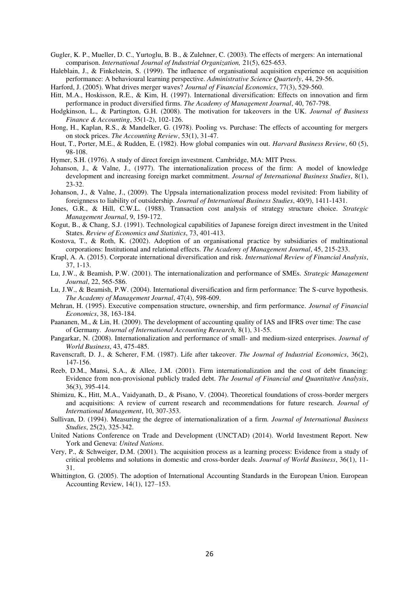Gugler, K. P., Mueller, D. C., Yurtoglu, B. B., & Zulehner, C. (2003). The effects of mergers: An international comparison. *International Journal of Industrial Organization,* 21(5), 625-653.

Haleblain, J., & Finkelstein, S. (1999). The influence of organisational acquisition experience on acquisition performance: A behavioural learning perspective. *Administrative Science Quarterly*, 44, 29-56.

Harford, J. (2005). What drives merger waves? *Journal of Financial Economics*, 77(3), 529-560.

- Hitt, M.A., Hoskisson, R.E., & Kim, H. (1997). International diversification: Effects on innovation and firm performance in product diversified firms. *The Academy of Management Journal*, 40, 767-798.
- Hodgkinson, L., & Partington, G.H. (2008). The motivation for takeovers in the UK. *Journal of Business Finance & Accounting*, 35(1-2), 102-126.
- Hong, H., Kaplan, R.S., & Mandelker, G. (1978). Pooling vs. Purchase: The effects of accounting for mergers on stock prices. *The Accounting Review*, 53(1), 31-47.
- Hout, T., Porter, M.E., & Rudden, E. (1982). How global companies win out. *Harvard Business Review*, 60 (5), 98-108.

Hymer, S.H. (1976). A study of direct foreign investment. Cambridge, MA: MIT Press.

- Johanson, J., & Valne, J., (1977). The internationalization process of the firm: A model of knowledge development and increasing foreign market commitment. *Journal of International Business Studies*, 8(1), 23-32.
- Johanson, J., & Valne, J., (2009). The Uppsala internationalization process model revisited: From liability of foreignness to liability of outsidership. *Journal of International Business Studies*, 40(9), 1411-1431.
- Jones, G.R., & Hill, C.W.L. (1988). Transaction cost analysis of strategy structure choice. *Strategic Management Journal*, 9, 159-172.
- Kogut, B., & Chang, S.J. (1991). Technological capabilities of Japanese foreign direct investment in the United States. *Review of Economics and Statistics*, 73, 401-413.
- Kostova, T., & Roth, K. (2002). Adoption of an organisational practice by subsidiaries of multinational corporations: Institutional and relational effects. *The Academy of Management Journal*, 45, 215-233.
- Krapl, A. A. (2015). Corporate international diversification and risk. *International Review of Financial Analysis*, 37, 1-13.
- Lu, J.W., & Beamish, P.W. (2001). The internationalization and performance of SMEs. *Strategic Management Journal*, 22, 565-586.
- Lu, J.W., & Beamish, P.W. (2004). International diversification and firm performance: The S-curve hypothesis. *The Academy of Management Journal*, 47(4), 598-609.
- Mehran, H. (1995). Executive compensation structure, ownership, and firm performance. *Journal of Financial Economics*, 38, 163-184.
- Paananen, M., & Lin, H. (2009). The development of accounting quality of IAS and IFRS over time: The case of Germany. *Journal of International Accounting Research,* 8(1), 31-55.
- Pangarkar, N. (2008). Internationalization and performance of small- and medium-sized enterprises. *Journal of World Business*, 43, 475-485.
- Ravenscraft, D. J., & Scherer, F.M. (1987). Life after takeover. *The Journal of Industrial Economics*, 36(2), 147-156.
- Reeb, D.M., Mansi, S.A., & Allee, J.M. (2001). Firm internationalization and the cost of debt financing: Evidence from non-provisional publicly traded debt. *The Journal of Financial and Quantitative Analysis*, 36(3), 395-414.
- Shimizu, K., Hitt, M.A., Vaidyanath, D., & Pisano, V. (2004). Theoretical foundations of cross-border mergers and acquisitions: A review of current research and recommendations for future research. *Journal of International Management*, 10, 307-353.
- Sullivan, D. (1994). Measuring the degree of internationalization of a firm. *Journal of International Business Studies*, 25(2), 325-342.
- United Nations Conference on Trade and Development (UNCTAD) (2014). World Investment Report. New York and Geneva: *United Nations*.
- Very, P., & Schweiger, D.M. (2001). The acquisition process as a learning process: Evidence from a study of critical problems and solutions in domestic and cross-border deals. *Journal of World Business*, 36(1), 11- 31.
- Whittington, G. (2005). The adoption of International Accounting Standards in the European Union. European Accounting Review, 14(1), 127–153.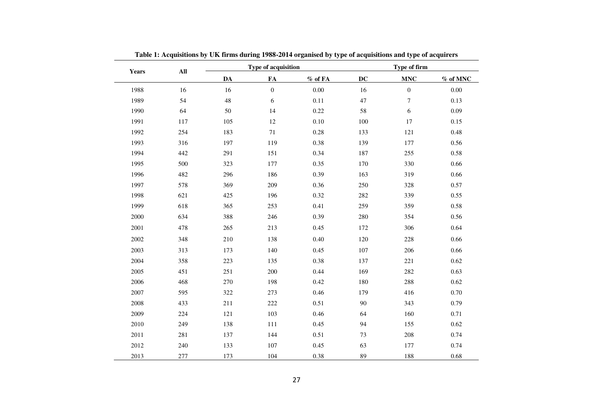| Years | $\mathbf{All}$ |        | Type of acquisition |           |           | Type of firm     |            |
|-------|----------------|--------|---------------------|-----------|-----------|------------------|------------|
|       |                | DA     | ${\bf FA}$          | $%$ of FA | <b>DC</b> | <b>MNC</b>       | $%$ of MNC |
| 1988  | 16             | 16     | $\boldsymbol{0}$    | 0.00      | 16        | $\boldsymbol{0}$ | 0.00       |
| 1989  | 54             | $48\,$ | 6                   | 0.11      | $47\,$    | $\boldsymbol{7}$ | 0.13       |
| 1990  | 64             | 50     | 14                  | 0.22      | 58        | $\sqrt{6}$       | 0.09       |
| 1991  | 117            | 105    | 12                  | 0.10      | 100       | 17               | 0.15       |
| 1992  | 254            | 183    | 71                  | 0.28      | 133       | 121              | 0.48       |
| 1993  | 316            | 197    | 119                 | 0.38      | 139       | 177              | 0.56       |
| 1994  | 442            | 291    | 151                 | 0.34      | 187       | 255              | 0.58       |
| 1995  | 500            | 323    | 177                 | 0.35      | 170       | 330              | 0.66       |
| 1996  | 482            | 296    | 186                 | 0.39      | 163       | 319              | 0.66       |
| 1997  | 578            | 369    | 209                 | 0.36      | 250       | 328              | 0.57       |
| 1998  | 621            | 425    | 196                 | 0.32      | 282       | 339              | 0.55       |
| 1999  | 618            | 365    | 253                 | 0.41      | 259       | 359              | 0.58       |
| 2000  | 634            | 388    | 246                 | 0.39      | 280       | 354              | 0.56       |
| 2001  | 478            | 265    | 213                 | 0.45      | 172       | 306              | 0.64       |
| 2002  | 348            | 210    | 138                 | 0.40      | 120       | 228              | 0.66       |
| 2003  | 313            | 173    | 140                 | 0.45      | 107       | 206              | 0.66       |
| 2004  | 358            | 223    | 135                 | 0.38      | 137       | 221              | 0.62       |
| 2005  | 451            | 251    | 200                 | 0.44      | 169       | 282              | 0.63       |
| 2006  | 468            | 270    | 198                 | 0.42      | 180       | 288              | 0.62       |
| 2007  | 595            | 322    | 273                 | 0.46      | 179       | 416              | 0.70       |
| 2008  | 433            | 211    | 222                 | 0.51      | 90        | 343              | 0.79       |
| 2009  | 224            | 121    | 103                 | 0.46      | 64        | 160              | 0.71       |
| 2010  | 249            | 138    | 111                 | 0.45      | 94        | 155              | 0.62       |
| 2011  | 281            | 137    | 144                 | 0.51      | 73        | 208              | 0.74       |
| 2012  | 240            | 133    | 107                 | 0.45      | 63        | 177              | 0.74       |
| 2013  | 277            | 173    | 104                 | 0.38      | 89        | 188              | 0.68       |

**Table 1: Acquisitions by UK firms during 1988-2014 organised by type of acquisitions and type of acquirers**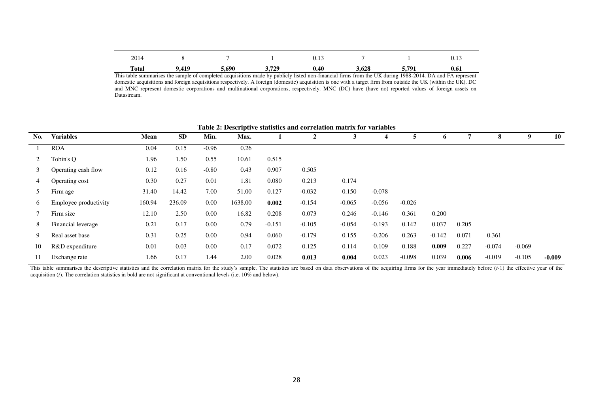| 2014         |       |       |       | 0.13 |       |       |      |
|--------------|-------|-------|-------|------|-------|-------|------|
| <b>Total</b> | 9.419 | 5.690 | 3.729 | 0.40 | 3.628 | 5.791 | 0.61 |

This table summarises the sample of completed acquisitions made by publicly listed non-financial firms from the UK during 1988-2014. DA and FA represent domestic acquisitions and foreign acquisitions respectively. A foreign (domestic) acquisition is one with a target firm from outside the UK (within the UK). DC and MNC represent domestic corporations and multinational corporations, respectively. MNC (DC) have (have no) reported values of foreign assets on Datastream.

|          | Table 2. Descriptive statistics and correlation matrix for variables |        |        |         |         |          |          |          |          |          |          |       |          |          |          |
|----------|----------------------------------------------------------------------|--------|--------|---------|---------|----------|----------|----------|----------|----------|----------|-------|----------|----------|----------|
| No.      | <b>Variables</b>                                                     | Mean   | SD     | Min.    | Max.    |          |          | 3        | 4        | 5.       | 6        |       | 8        | 9        | 10       |
|          | <b>ROA</b>                                                           | 0.04   | 0.15   | $-0.96$ | 0.26    |          |          |          |          |          |          |       |          |          |          |
|          | Tobin's O                                                            | 1.96   | 1.50   | 0.55    | 10.61   | 0.515    |          |          |          |          |          |       |          |          |          |
|          | Operating cash flow                                                  | 0.12   | 0.16   | $-0.80$ | 0.43    | 0.907    | 0.505    |          |          |          |          |       |          |          |          |
| 4        | Operating cost                                                       | 0.30   | 0.27   | 0.01    | 1.81    | 0.080    | 0.213    | 0.174    |          |          |          |       |          |          |          |
|          | Firm age                                                             | 31.40  | 14.42  | 7.00    | 51.00   | 0.127    | $-0.032$ | 0.150    | $-0.078$ |          |          |       |          |          |          |
| $\sigma$ | Employee productivity                                                | 160.94 | 236.09 | 0.00    | 1638.00 | 0.002    | $-0.154$ | $-0.065$ | $-0.056$ | $-0.026$ |          |       |          |          |          |
|          | Firm size                                                            | 12.10  | 2.50   | 0.00    | 16.82   | 0.208    | 0.073    | 0.246    | $-0.146$ | 0.361    | 0.200    |       |          |          |          |
| 8        | Financial leverage                                                   | 0.21   | 0.17   | 0.00    | 0.79    | $-0.151$ | $-0.105$ | $-0.054$ | $-0.193$ | 0.142    | 0.037    | 0.205 |          |          |          |
| 9        | Real asset base                                                      | 0.31   | 0.25   | 0.00    | 0.94    | 0.060    | $-0.179$ | 0.155    | $-0.206$ | 0.263    | $-0.142$ | 0.071 | 0.361    |          |          |
| 10       | R&D expenditure                                                      | 0.01   | 0.03   | 0.00    | 0.17    | 0.072    | 0.125    | 0.114    | 0.109    | 0.188    | 0.009    | 0.227 | $-0.074$ | $-0.069$ |          |
| 11       | Exchange rate                                                        | 1.66   | 0.17   | 1.44    | 2.00    | 0.028    | 0.013    | 0.004    | 0.023    | $-0.098$ | 0.039    | 0.006 | $-0.019$ | $-0.105$ | $-0.009$ |

**Table 2: Descriptive statistics and correlation matrix for variables** 

This table summarises the descriptive statistics and the correlation matrix for the study's sample. The statistics are based on data observations of the acquiring firms for the year immediately before (t-1) the effective y acquisition (*t*). The correlation statistics in bold are not significant at conventional levels (i.e. 10% and below).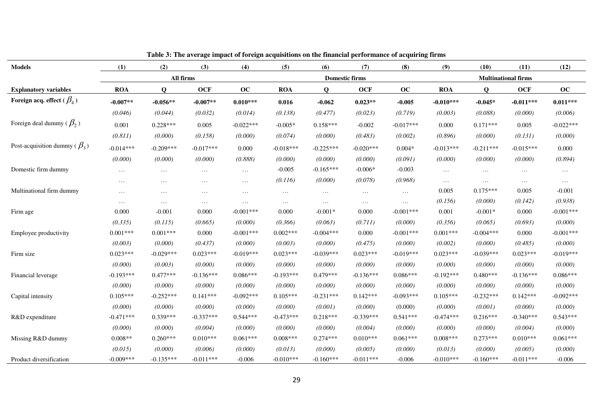| <b>Models</b>                                           | (1)         | (2)          | radic or rife average impact or foreign acquisitions on the miancial performance or acquiring in mis<br>(3) | (4)         | (5)         | (6)          | (7)                   | (8)         | (9)         | (10)        | (11)                       | (12)        |
|---------------------------------------------------------|-------------|--------------|-------------------------------------------------------------------------------------------------------------|-------------|-------------|--------------|-----------------------|-------------|-------------|-------------|----------------------------|-------------|
|                                                         |             |              | All firms                                                                                                   |             |             |              | <b>Domestic firms</b> |             |             |             | <b>Multinational firms</b> |             |
| <b>Explanatory variables</b>                            | <b>ROA</b>  | $\mathbf{Q}$ | <b>OCF</b>                                                                                                  | oc          | <b>ROA</b>  | $\mathbf{o}$ | <b>OCF</b>            | oc          | <b>ROA</b>  | $\mathbf Q$ | <b>OCF</b>                 | oc          |
| Foreign acq. effect ( $\beta_{\scriptscriptstyle{A}}$ ) | $-0.007**$  | $-0.056**$   | $-0.007**$                                                                                                  | $0.010***$  | 0.016       | $-0.062$     | $0.023**$             | $-0.005$    | $-0.010***$ | $-0.045*$   | $-0.011***$                | $0.011***$  |
|                                                         | (0.046)     | (0.044)      | (0.032)                                                                                                     | (0.014)     | (0.138)     | (0.477)      | (0.023)               | (0.719)     | (0.003)     | (0.088)     | (0.000)                    | (0.006)     |
| Foreign deal dummy ( $\beta_2$ )                        | 0.001       | $0.228***$   | 0.005                                                                                                       | $-0.022***$ | $-0.005*$   | $0.158***$   | $-0.002$              | $-0.017***$ | 0.000       | $0.171***$  | 0.005                      | $-0.022***$ |
|                                                         | (0.811)     | (0.000)      | (0.158)                                                                                                     | (0.000)     | (0.074)     | (0.000)      | (0.483)               | (0.002)     | (0.896)     | (0.000)     | (0.131)                    | (0.000)     |
| Post-acquisition dummy ( $\beta_3$ )                    | $-0.014***$ | $-0.209***$  | $-0.017***$                                                                                                 | 0.000       | $-0.018***$ | $-0.225***$  | $-0.020***$           | $0.004*$    | $-0.013***$ | $-0.211***$ | $-0.015***$                | 0.000       |
|                                                         | (0.000)     | (0.000)      | (0.000)                                                                                                     | (0.888)     | (0.000)     | (0.000)      | (0.000)               | (0.091)     | (0.000)     | (0.000)     | (0.000)                    | (0.894)     |
| Domestic firm dummy                                     | $\cdots$    | $\cdots$     | $\cdots$                                                                                                    | $\cdots$    | $-0.005$    | $-0.165***$  | $-0.006*$             | $-0.003$    | $\ldots$    | $\ldots$    | $\ldots$                   | $\ldots$    |
|                                                         | $\cdots$    | $\cdots$     | $\cdots$                                                                                                    | $\cdots$    | (0.116)     | (0.000)      | (0.078)               | (0.968)     | $\ldots$    | $\cdots$    | $\ldots$                   | $\dots$     |
| Multinational firm dummy                                | $\cdots$    | $\cdots$     | $\cdots$                                                                                                    | $\cdots$    | $\ldots$    | $\cdots$     | $\cdots$              | $\ldots$    | 0.005       | $0.175***$  | 0.005                      | $-0.001$    |
|                                                         | $\cdots$    | $\cdots$     | $\cdots$                                                                                                    | $\cdots$    | $\ldots$    | $\cdots$     | $\cdots$              | $\ldots$    | (0.156)     | (0.000)     | (0.142)                    | (0.938)     |
| Firm age                                                | 0.000       | $-0.001$     | 0.000                                                                                                       | $-0.001***$ | 0.000       | $-0.001*$    | 0.000                 | $-0.001***$ | 0.001       | $-0.001*$   | 0.000                      | $-0.001***$ |
|                                                         | (0.335)     | (0.115)      | (0.665)                                                                                                     | (0.000)     | (0.366)     | (0.063)      | (0.711)               | (0.000)     | (0.356)     | (0.065)     | (0.693)                    | (0.000)     |
| Employee productivity                                   | $0.001***$  | $0.001***$   | 0.000                                                                                                       | $-0.001***$ | $0.002***$  | $-0.004***$  | 0.000                 | $-0.001***$ | $0.001***$  | $-0.004***$ | 0.000                      | $-0.001***$ |
|                                                         | (0.003)     | (0.000)      | (0.437)                                                                                                     | (0.000)     | (0.003)     | (0.000)      | (0.475)               | (0.000)     | (0.002)     | (0.000)     | (0.485)                    | (0.000)     |
| Firm size                                               | $0.023***$  | $-0.029***$  | $0.023***$                                                                                                  | $-0.019***$ | $0.023***$  | $-0.039***$  | $0.023***$            | $-0.019***$ | $0.023***$  | $-0.039***$ | $0.023***$                 | $-0.019***$ |
|                                                         | (0.000)     | (0.003)      | (0.000)                                                                                                     | (0.000)     | (0.000)     | (0.000)      | (0.000)               | (0.000)     | (0.000)     | (0.000)     | (0.000)                    | (0.000)     |
| Financial leverage                                      | $-0.193***$ | $0.477***$   | $-0.136***$                                                                                                 | $0.086***$  | $-0.193***$ | $0.479***$   | $-0.136***$           | $0.086***$  | $-0.192***$ | $0.480***$  | $-0.136***$                | $0.086***$  |
|                                                         | (0.000)     | (0.000)      | (0.000)                                                                                                     | (0.000)     | (0.000)     | (0.000)      | (0.000)               | (0.000)     | (0.000)     | (0.000)     | (0.000)                    | (0.000)     |
| Capital intensity                                       | $0.105***$  | $-0.252***$  | $0.141***$                                                                                                  | $-0.092***$ | $0.105***$  | $-0.231***$  | $0.142***$            | $-0.093***$ | $0.105***$  | $-0.232***$ | $0.142***$                 | $-0.092***$ |
|                                                         | (0.000)     | (0.000)      | (0.000)                                                                                                     | (0.000)     | (0.000)     | (0.001)      | (0.000)               | (0.000)     | (0.000)     | (0.001)     | (0.000)                    | (0.000)     |
| R&D expenditure                                         | $-0.471***$ | $0.339***$   | $-0.337***$                                                                                                 | $0.544***$  | $-0.473***$ | $0.218***$   | $-0.339***$           | $0.541***$  | $-0.474***$ | $0.216***$  | $-0.340***$                | $0.543***$  |
|                                                         | (0.000)     | (0.000)      | (0.004)                                                                                                     | (0.000)     | (0.000)     | (0.000)      | (0.004)               | (0.000)     | (0.000)     | (0.000)     | (0.004)                    | (0.000)     |
| Missing R&D dummy                                       | $0.008**$   | $0.260***$   | $0.010***$                                                                                                  | $0.061***$  | $0.008***$  | $0.274***$   | $0.010***$            | $0.061***$  | $0.008***$  | $0.273***$  | $0.010***$                 | $0.061***$  |
|                                                         | (0.015)     | (0.000)      | (0.006)                                                                                                     | (0.000)     | (0.013)     | (0.000)      | (0.005)               | (0.000)     | (0.013)     | (0.000)     | (0.005)                    | (0.000)     |
| Product diversification                                 | $-0.009***$ | $-0.135***$  | $-0.011***$                                                                                                 | $-0.006$    | $-0.010***$ | $-0.160***$  | $-0.011***$           | $-0.006$    | $-0.010***$ | $-0.160***$ | $-0.011***$                | $-0.006$    |

#### **Table 3: The average impact of foreign acquisitions on the financial performance of acquiring firms**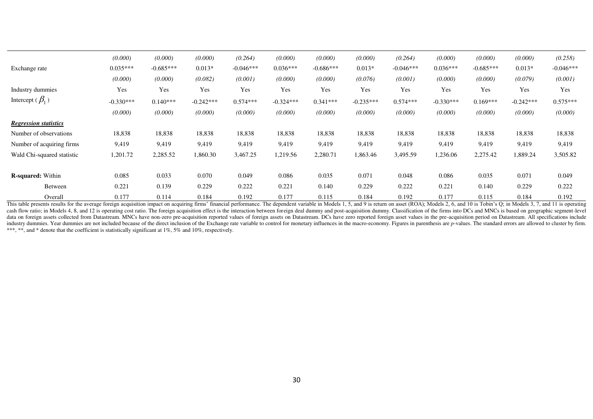|                              | (0.000)     | (0.000)     | (0.000)     | (0.264)     | (0.000)     | (0.000)     | (0.000)     | (0.264)     | (0.000)     | (0.000)     | (0.000)     | (0.258)     |
|------------------------------|-------------|-------------|-------------|-------------|-------------|-------------|-------------|-------------|-------------|-------------|-------------|-------------|
| Exchange rate                | $0.035***$  | $-0.685***$ | $0.013*$    | $-0.046***$ | $0.036***$  | $-0.686***$ | $0.013*$    | $-0.046***$ | $0.036***$  | $-0.685***$ | $0.013*$    | $-0.046***$ |
|                              | (0.000)     | (0.000)     | (0.082)     | (0.001)     | (0.000)     | (0.000)     | (0.076)     | (0.001)     | (0.000)     | (0.000)     | (0.079)     | (0.001)     |
| Industry dummies             | Yes         | Yes         | Yes         | Yes         | Yes         | Yes         | Yes         | Yes         | Yes         | Yes         | Yes         | Yes         |
| Intercept ( $\beta_1$ )      | $-0.330***$ | $0.140***$  | $-0.242***$ | $0.574***$  | $-0.324***$ | $0.341***$  | $-0.235***$ | $0.574***$  | $-0.330***$ | $0.169***$  | $-0.242***$ | $0.575***$  |
|                              | (0.000)     | (0.000)     | (0.000)     | (0.000)     | (0.000)     | (0.000)     | (0.000)     | (0.000)     | (0.000)     | (0.000)     | (0.000)     | (0.000)     |
| <b>Regression statistics</b> |             |             |             |             |             |             |             |             |             |             |             |             |
| Number of observations       | 18,838      | 18,838      | 18,838      | 18,838      | 18,838      | 18,838      | 18,838      | 18,838      | 18,838      | 18,838      | 18,838      | 18,838      |
| Number of acquiring firms    | 9,419       | 9,419       | 9,419       | 9,419       | 9,419       | 9,419       | 9,419       | 9,419       | 9,419       | 9,419       | 9,419       | 9,419       |
| Wald Chi-squared statistic   | 1,201.72    | 2,285.52    | 1,860.30    | 3,467.25    | 1,219.56    | 2,280.71    | 1,863.46    | 3,495.59    | 1,236.06    | 2,275.42    | 1,889.24    | 3,505.82    |
| <b>R-squared:</b> Within     | 0.085       | 0.033       | 0.070       | 0.049       | 0.086       | 0.035       | 0.071       | 0.048       | 0.086       | 0.035       | 0.071       | 0.049       |
| Between                      | 0.221       | 0.139       | 0.229       | 0.222       | 0.221       | 0.140       | 0.229       | 0.222       | 0.221       | 0.140       | 0.229       | 0.222       |
| Overall                      | 0.177       | 0.114       | 0.184       | 0.192       | 0.177       | 0.115       | 0.184       | 0.192       | 0.177       | 0.115       | 0.184       | 0.192       |

This table presents results for the average foreign acquisition impact on acquiring firms' financial performance. The dependent variable in Models 1, 5, and 9 is return on asset (ROA); Models 2, 6, and 10 is Tobin's Q; in cash flow ratio; in Models 4, 8, and 12 is operating cost ratio. The foreign acquisition effect is the interaction between foreign deal dummy and post-acquisition dummy. Classification of the firms into DCs and MNCs is bas data on foreign assets collected from Datastream. MNCs have non-zero pre-acquisition reported values of foreign assets on Datastream. DCs have zero reported foreign asset values in the pre-acquisition period on Datastream. industry dummies. Year dummies are not included because of the direct inclusion of the Exchange rate variable to control for monetary influences in the macro-economy. Figures in parenthesis are p-values. The standard error \*\*\*, \*\*, and \* denote that the coefficient is statistically significant at 1%, 5% and 10%, respectively.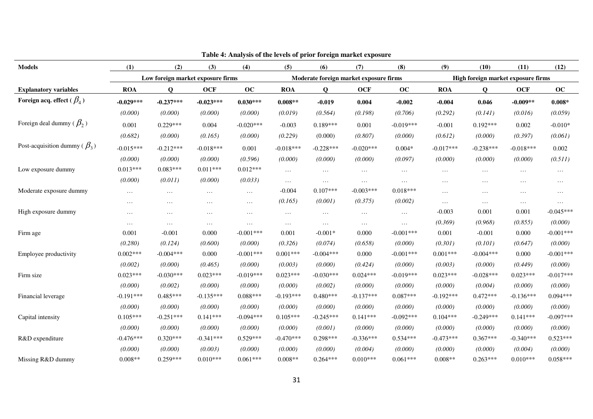|                                                         |             |             |                                   |             |             |                                        | Table 4: Analysis of the levels of prior foreign market exposure |             |             |                                    |             |             |  |  |
|---------------------------------------------------------|-------------|-------------|-----------------------------------|-------------|-------------|----------------------------------------|------------------------------------------------------------------|-------------|-------------|------------------------------------|-------------|-------------|--|--|
| <b>Models</b>                                           | (1)         | (2)         | (3)                               | (4)         | (5)         | (6)                                    | (7)                                                              | (8)         | (9)         | (10)                               | (11)        | (12)        |  |  |
|                                                         |             |             | Low foreign market exposure firms |             |             | Moderate foreign market exposure firms |                                                                  |             |             | High foreign market exposure firms |             |             |  |  |
| <b>Explanatory variables</b>                            | <b>ROA</b>  | Q           | <b>OCF</b>                        | oc          | <b>ROA</b>  | Q                                      | <b>OCF</b>                                                       | oc          | <b>ROA</b>  | Q                                  | <b>OCF</b>  | oc          |  |  |
| Foreign acq. effect ( $\beta_{\scriptscriptstyle{A}}$ ) | $-0.029***$ | $-0.237***$ | $-0.023***$                       | $0.030***$  | $0.008**$   | $-0.019$                               | 0.004                                                            | $-0.002$    | $-0.004$    | 0.046                              | $-0.009**$  | $0.008*$    |  |  |
|                                                         | (0.000)     | (0.000)     | (0.000)                           | (0.000)     | (0.019)     | (0.564)                                | (0.198)                                                          | (0.706)     | (0.292)     | (0.141)                            | (0.016)     | (0.059)     |  |  |
| Foreign deal dummy ( $\beta_2$ )                        | 0.001       | $0.229***$  | 0.004                             | $-0.020***$ | $-0.003$    | $0.189***$                             | 0.001                                                            | $-0.019***$ | $-0.001$    | $0.192***$                         | 0.002       | $-0.010*$   |  |  |
|                                                         | (0.682)     | (0.000)     | (0.165)                           | (0.000)     | (0.229)     | (0.000)                                | (0.807)                                                          | (0.000)     | (0.612)     | (0.000)                            | (0.397)     | (0.061)     |  |  |
| Post-acquisition dummy ( $\beta_3$ )                    | $-0.015***$ | $-0.212***$ | $-0.018***$                       | 0.001       | $-0.018***$ | $-0.228***$                            | $-0.020***$                                                      | $0.004*$    | $-0.017***$ | $-0.238***$                        | $-0.018***$ | 0.002       |  |  |
|                                                         | (0.000)     | (0.000)     | (0.000)                           | (0.596)     | (0.000)     | (0.000)                                | (0.000)                                                          | (0.097)     | (0.000)     | (0.000)                            | (0.000)     | (0.511)     |  |  |
| Low exposure dummy                                      | $0.013***$  | $0.083***$  | $0.011***$                        | $0.012***$  | $\cdots$    | $\cdots$                               | $\cdots$                                                         | $\cdots$    | $\cdots$    | $\cdots$                           | $\cdots$    | $\cdots$    |  |  |
|                                                         | (0.000)     | (0.011)     | (0.000)                           | (0.033)     | $\cdots$    | $\cdots$                               | $\cdots$                                                         | $\cdots$    | $\cdots$    | $\cdots$                           | $\cdots$    | $\cdots$    |  |  |
| Moderate exposure dummy                                 | $\cdots$    | $\cdots$    | $\cdots$                          | $\cdots$    | $-0.004$    | $0.107***$                             | $-0.003***$                                                      | $0.018***$  | $\cdots$    | $\ddotsc$                          | $\cdots$    | $\cdots$    |  |  |
|                                                         | $\cdots$    | $\cdots$    | $\cdots$                          | $\cdots$    | (0.165)     | (0.001)                                | (0.375)                                                          | (0.002)     | $\cdots$    | $\cdots$                           | $\cdots$    | $\cdots$    |  |  |
| High exposure dummy                                     | $\cdots$    | $\cdots$    | $\cdots$                          | $\cdots$    | $\cdots$    | $\cdots$                               | $\cdots$                                                         | $\cdots$    | $-0.003$    | 0.001                              | 0.001       | $-0.045***$ |  |  |
|                                                         | $\cdots$    | $\cdots$    | $\cdots$                          | $\cdots$    | $\cdots$    | $\cdots$                               | $\cdots$                                                         | $\cdots$    | (0.369)     | (0.968)                            | (0.855)     | (0.000)     |  |  |
| Firm age                                                | 0.001       | $-0.001$    | 0.000                             | $-0.001***$ | 0.001       | $-0.001*$                              | 0.000                                                            | $-0.001***$ | 0.001       | $-0.001$                           | 0.000       | $-0.001***$ |  |  |
|                                                         | (0.280)     | (0.124)     | (0.600)                           | (0.000)     | (0.326)     | (0.074)                                | (0.658)                                                          | (0.000)     | (0.301)     | (0.101)                            | (0.647)     | (0.000)     |  |  |
| Employee productivity                                   | $0.002***$  | $-0.004***$ | 0.000                             | $-0.001***$ | $0.001***$  | $-0.004***$                            | 0.000                                                            | $-0.001***$ | $0.001***$  | $-0.004***$                        | 0.000       | $-0.001***$ |  |  |
|                                                         | (0.002)     | (0.000)     | (0.465)                           | (0.000)     | (0.003)     | (0.000)                                | (0.424)                                                          | (0.000)     | (0.003)     | (0.000)                            | (0.449)     | (0.000)     |  |  |
| Firm size                                               | $0.023***$  | $-0.030***$ | $0.023***$                        | $-0.019***$ | $0.023***$  | $-0.030***$                            | $0.024***$                                                       | $-0.019***$ | $0.023***$  | $-0.028***$                        | $0.023***$  | $-0.017***$ |  |  |
|                                                         | (0.000)     | (0.002)     | (0.000)                           | (0.000)     | (0.000)     | (0.002)                                | (0.000)                                                          | (0.000)     | (0.000)     | (0.004)                            | (0.000)     | (0.000)     |  |  |
| Financial leverage                                      | $-0.191***$ | $0.485***$  | $-0.135***$                       | $0.088***$  | $-0.193***$ | $0.480***$                             | $-0.137***$                                                      | $0.087***$  | $-0.192***$ | $0.472***$                         | $-0.136***$ | $0.094***$  |  |  |
|                                                         | (0.000)     | (0.000)     | (0.000)                           | (0.000)     | (0.000)     | (0.000)                                | (0.000)                                                          | (0.000)     | (0.000)     | (0.000)                            | (0.000)     | (0.000)     |  |  |
| Capital intensity                                       | $0.105***$  | $-0.251***$ | $0.141***$                        | $-0.094***$ | $0.105***$  | $-0.245***$                            | $0.141***$                                                       | $-0.092***$ | $0.104***$  | $-0.249***$                        | $0.141***$  | $-0.097***$ |  |  |
|                                                         | (0.000)     | (0.000)     | (0.000)                           | (0.000)     | (0.000)     | (0.001)                                | (0.000)                                                          | (0.000)     | (0.000)     | (0.000)                            | (0.000)     | (0.000)     |  |  |
| R&D expenditure                                         | $-0.476***$ | $0.320***$  | $-0.341***$                       | $0.529***$  | $-0.470***$ | $0.298***$                             | $-0.336***$                                                      | $0.534***$  | $-0.473***$ | $0.367***$                         | $-0.340***$ | $0.523***$  |  |  |
|                                                         | (0.000)     | (0.000)     | (0.003)                           | (0.000)     | (0.000)     | (0.000)                                | (0.004)                                                          | (0.000)     | (0.000)     | (0.000)                            | (0.004)     | (0.000)     |  |  |
| Missing R&D dummy                                       | $0.008**$   | $0.259***$  | $0.010***$                        | $0.061***$  | $0.008**$   | $0.264***$                             | $0.010***$                                                       | $0.061***$  | $0.008**$   | $0.263***$                         | $0.010***$  | $0.058***$  |  |  |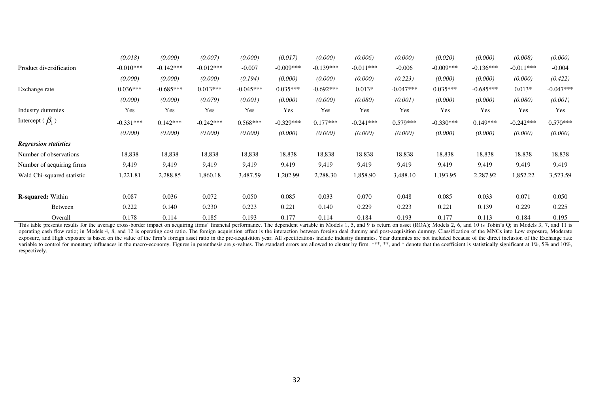|                              | (0.018)     | (0.000)     | (0.007)     | (0.000)     | (0.017)     | (0.000)     | (0.006)     | (0.000)     | (0.020)     | (0.000)     | (0.008)     | (0.000)     |
|------------------------------|-------------|-------------|-------------|-------------|-------------|-------------|-------------|-------------|-------------|-------------|-------------|-------------|
| Product diversification      | $-0.010***$ | $-0.142***$ | $-0.012***$ | $-0.007$    | $-0.009***$ | $-0.139***$ | $-0.011***$ | $-0.006$    | $-0.009***$ | $-0.136***$ | $-0.011***$ | $-0.004$    |
|                              | (0.000)     | (0.000)     | (0.000)     | (0.194)     | (0.000)     | (0.000)     | (0.000)     | (0.223)     | (0.000)     | (0.000)     | (0.000)     | (0.422)     |
| Exchange rate                | $0.036***$  | $-0.685***$ | $0.013***$  | $-0.045***$ | $0.035***$  | $-0.692***$ | $0.013*$    | $-0.047***$ | $0.035***$  | $-0.685***$ | $0.013*$    | $-0.047***$ |
|                              | (0.000)     | (0.000)     | (0.079)     | (0.001)     | (0.000)     | (0.000)     | (0.080)     | (0.001)     | (0.000)     | (0.000)     | (0.080)     | (0.001)     |
| Industry dummies             | Yes         | Yes         | Yes         | Yes         | Yes         | Yes         | Yes         | Yes         | Yes         | Yes         | Yes         | Yes         |
| Intercept ( $\beta_1$ )      | $-0.331***$ | $0.142***$  | $-0.242***$ | $0.568***$  | $-0.329***$ | $0.177***$  | $-0.241***$ | $0.579***$  | $-0.330***$ | $0.149***$  | $-0.242***$ | $0.570***$  |
|                              | (0.000)     | (0.000)     | (0.000)     | (0.000)     | (0.000)     | (0.000)     | (0.000)     | (0.000)     | (0.000)     | (0.000)     | (0.000)     | (0.000)     |
| <b>Regression statistics</b> |             |             |             |             |             |             |             |             |             |             |             |             |
| Number of observations       | 18,838      | 18,838      | 18,838      | 18,838      | 18,838      | 18,838      | 18,838      | 18,838      | 18,838      | 18,838      | 18,838      | 18,838      |
| Number of acquiring firms    | 9,419       | 9,419       | 9,419       | 9,419       | 9,419       | 9,419       | 9,419       | 9,419       | 9,419       | 9,419       | 9,419       | 9,419       |
| Wald Chi-squared statistic   | 1,221.81    | 2,288.85    | .860.18     | 3,487.59    | 1,202.99    | 2,288.30    | 1,858.90    | 3,488.10    | 1,193.95    | 2,287.92    | 1,852.22    | 3,523.59    |
| <b>R-squared:</b> Within     | 0.087       | 0.036       | 0.072       | 0.050       | 0.085       | 0.033       | 0.070       | 0.048       | 0.085       | 0.033       | 0.071       | 0.050       |
| Between                      | 0.222       | 0.140       | 0.230       | 0.223       | 0.221       | 0.140       | 0.229       | 0.223       | 0.221       | 0.139       | 0.229       | 0.225       |
| Overall                      | 0.178       | 0.114       | 0.185       | 0.193       | 0.177       | 0.114       | 0.184       | 0.193       | 0.177       | 0.113       | 0.184       | 0.195       |

This table presents results for the average cross-border impact on acquiring firms' financial performance. The dependent variable in Models 1, 5, and 9 is return on asset (ROA); Models 2, 6, and 10 is Tobin's Q; in Models operating cash flow ratio; in Models 4, 8, and 12 is operating cost ratio. The foreign acquisition effect is the interaction between foreign deal dummy and post-acquisition dummy. Classification of the MNCs into Low exposu exposure, and High exposure is based on the value of the firm's foreign asset ratio in the pre-acquisition year. All specifications include industry dummies. Year dummies are not included because of the direct inclusion of variable to control for monetary influences in the macro-economy. Figures in parenthesis are p-values. The standard errors are allowed to cluster by firm. \*\*\*, \*\*, and \* denote that the coefficient is statistically signifi respectively.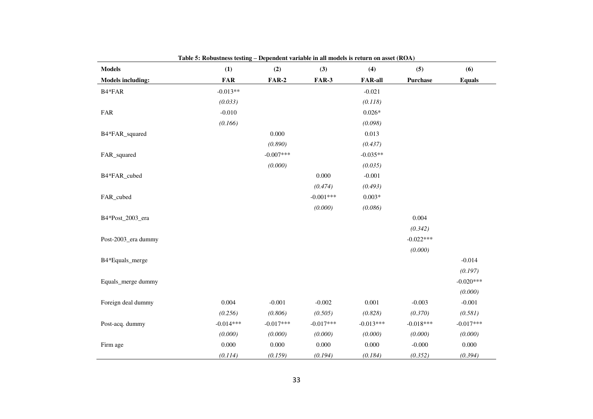| <b>Models</b>            | (1)         | (2)         | (3)          | (4)            | (5)             | (6)           |
|--------------------------|-------------|-------------|--------------|----------------|-----------------|---------------|
| <b>Models including:</b> | <b>FAR</b>  | $FAR-2$     | <b>FAR-3</b> | <b>FAR-all</b> | <b>Purchase</b> | <b>Equals</b> |
| B4*FAR                   | $-0.013**$  |             |              | $-0.021$       |                 |               |
|                          | (0.033)     |             |              | (0.118)        |                 |               |
| FAR                      | $-0.010$    |             |              | $0.026*$       |                 |               |
|                          | (0.166)     |             |              | (0.098)        |                 |               |
| B4*FAR_squared           |             | 0.000       |              | 0.013          |                 |               |
|                          |             | (0.890)     |              | (0.437)        |                 |               |
| FAR_squared              |             | $-0.007***$ |              | $-0.035**$     |                 |               |
|                          |             | (0.000)     |              | (0.035)        |                 |               |
| B4*FAR_cubed             |             |             | 0.000        | $-0.001$       |                 |               |
|                          |             |             | (0.474)      | (0.493)        |                 |               |
| FAR_cubed                |             |             | $-0.001***$  | $0.003*$       |                 |               |
|                          |             |             | (0.000)      | (0.086)        |                 |               |
| B4*Post_2003_era         |             |             |              |                | 0.004           |               |
|                          |             |             |              |                | (0.342)         |               |
| Post-2003_era dummy      |             |             |              |                | $-0.022***$     |               |
|                          |             |             |              |                | (0.000)         |               |
| B4*Equals_merge          |             |             |              |                |                 | $-0.014$      |
|                          |             |             |              |                |                 | (0.197)       |
| Equals_merge dummy       |             |             |              |                |                 | $-0.020***$   |
|                          |             |             |              |                |                 | (0.000)       |
| Foreign deal dummy       | 0.004       | $-0.001$    | $-0.002$     | 0.001          | $-0.003$        | $-0.001$      |
|                          | (0.256)     | (0.806)     | (0.505)      | (0.828)        | (0.370)         | (0.581)       |
| Post-acq. dummy          | $-0.014***$ | $-0.017***$ | $-0.017***$  | $-0.013***$    | $-0.018***$     | $-0.017***$   |
|                          | (0.000)     | (0.000)     | (0.000)      | (0.000)        | (0.000)         | (0.000)       |
| Firm age                 | 0.000       | 0.000       | $0.000\,$    | 0.000          | $-0.000$        | $0.000\,$     |
|                          | (0.114)     | (0.159)     | (0.194)      | (0.184)        | (0.352)         | (0.394)       |

**Table 5: Robustness testing – Dependent variable in all models is return on asset (ROA)**